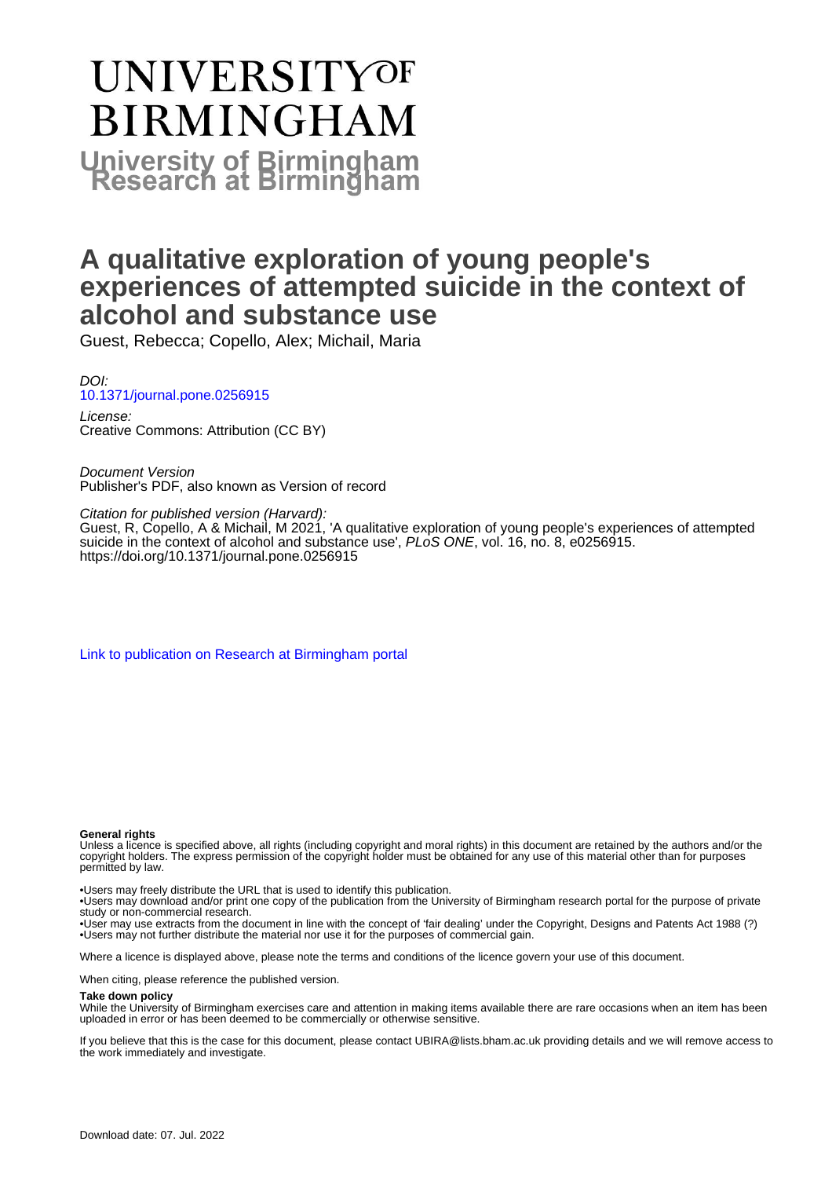# **UNIVERSITYOF BIRMINGHAM University of Birmingham**

# **A qualitative exploration of young people's experiences of attempted suicide in the context of alcohol and substance use**

Guest, Rebecca; Copello, Alex; Michail, Maria

DOI: [10.1371/journal.pone.0256915](https://doi.org/10.1371/journal.pone.0256915)

License: Creative Commons: Attribution (CC BY)

Document Version Publisher's PDF, also known as Version of record

Citation for published version (Harvard): Guest, R, Copello, A & Michail, M 2021, 'A qualitative exploration of young people's experiences of attempted suicide in the context of alcohol and substance use', PLoS ONE, vol. 16, no. 8, e0256915. <https://doi.org/10.1371/journal.pone.0256915>

[Link to publication on Research at Birmingham portal](https://birmingham.elsevierpure.com/en/publications/466ecd08-1a7c-43f7-9f14-b748bcfc130b)

#### **General rights**

Unless a licence is specified above, all rights (including copyright and moral rights) in this document are retained by the authors and/or the copyright holders. The express permission of the copyright holder must be obtained for any use of this material other than for purposes permitted by law.

• Users may freely distribute the URL that is used to identify this publication.

• Users may download and/or print one copy of the publication from the University of Birmingham research portal for the purpose of private study or non-commercial research.

• User may use extracts from the document in line with the concept of 'fair dealing' under the Copyright, Designs and Patents Act 1988 (?) • Users may not further distribute the material nor use it for the purposes of commercial gain.

Where a licence is displayed above, please note the terms and conditions of the licence govern your use of this document.

When citing, please reference the published version.

#### **Take down policy**

While the University of Birmingham exercises care and attention in making items available there are rare occasions when an item has been uploaded in error or has been deemed to be commercially or otherwise sensitive.

If you believe that this is the case for this document, please contact UBIRA@lists.bham.ac.uk providing details and we will remove access to the work immediately and investigate.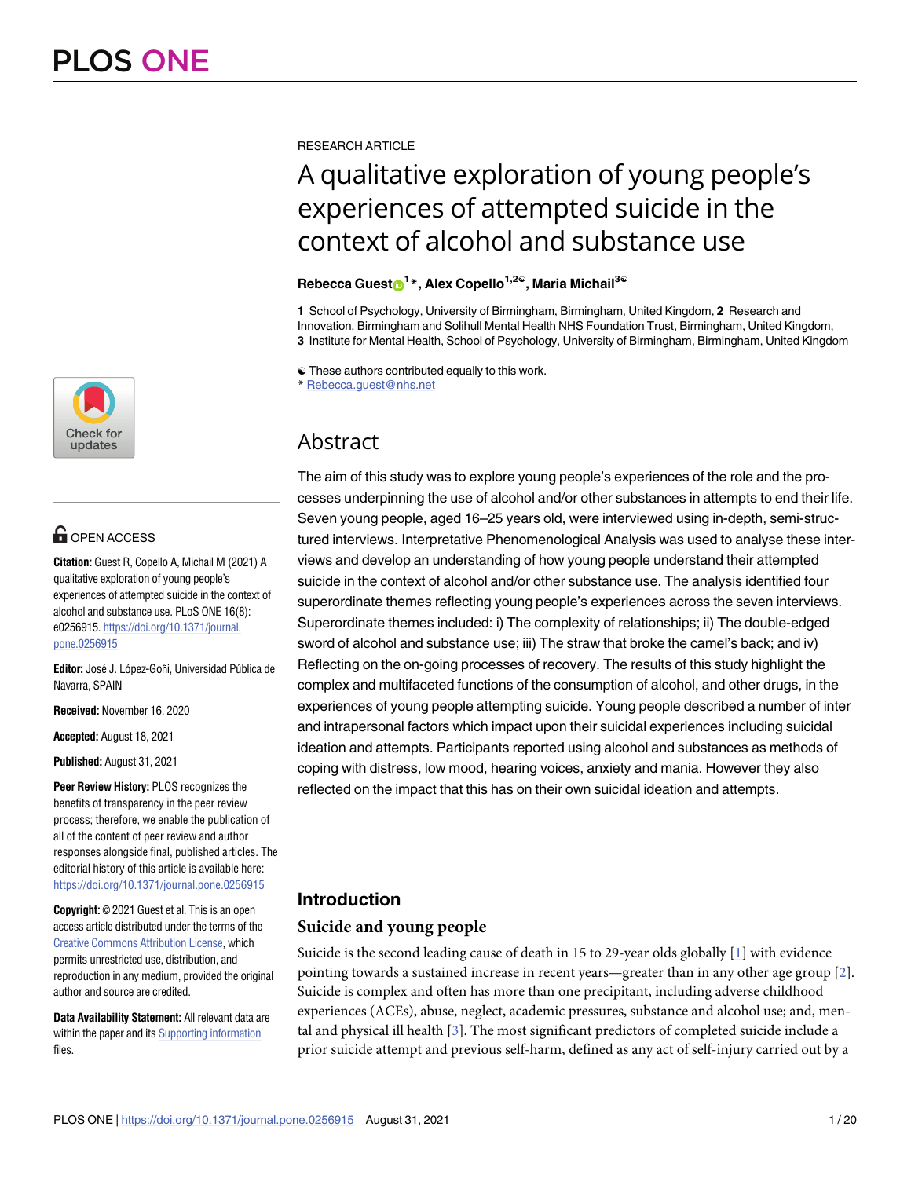

# **G** OPEN ACCESS

**Citation:** Guest R, Copello A, Michail M (2021) A qualitative exploration of young people's experiences of attempted suicide in the context of alcohol and substance use. PLoS ONE 16(8): e0256915. [https://doi.org/10.1371/journal.](https://doi.org/10.1371/journal.pone.0256915) [pone.0256915](https://doi.org/10.1371/journal.pone.0256915)

Editor: José J. López-Goñi, Universidad Pública de Navarra, SPAIN

**Received:** November 16, 2020

**Accepted:** August 18, 2021

**Published:** August 31, 2021

**Peer Review History:** PLOS recognizes the benefits of transparency in the peer review process; therefore, we enable the publication of all of the content of peer review and author responses alongside final, published articles. The editorial history of this article is available here: <https://doi.org/10.1371/journal.pone.0256915>

**Copyright:** © 2021 Guest et al. This is an open access article distributed under the terms of the Creative Commons [Attribution](http://creativecommons.org/licenses/by/4.0/) License, which permits unrestricted use, distribution, and reproduction in any medium, provided the original author and source are credited.

**Data Availability Statement:** All relevant data are within the paper and its Supporting [information](#page-17-0) files.

<span id="page-1-0"></span>RESEARCH ARTICLE

# A qualitative exploration of young people's experiences of attempted suicide in the context of alcohol and substance use

# $\mathsf{Re}$ becca Guest $\mathbf{D}^{1\ast}$ , Alex Copello<sup>1,2©</sup>, Maria Michail<sup>3©</sup>

**1** School of Psychology, University of Birmingham, Birmingham, United Kingdom, **2** Research and Innovation, Birmingham and Solihull Mental Health NHS Foundation Trust, Birmingham, United Kingdom, **3** Institute for Mental Health, School of Psychology, University of Birmingham, Birmingham, United Kingdom

☯ These authors contributed equally to this work.

\* Rebecca.guest@nhs.net

# Abstract

The aim of this study was to explore young people's experiences of the role and the processes underpinning the use of alcohol and/or other substances in attempts to end their life. Seven young people, aged 16–25 years old, were interviewed using in-depth, semi-structured interviews. Interpretative Phenomenological Analysis was used to analyse these interviews and develop an understanding of how young people understand their attempted suicide in the context of alcohol and/or other substance use. The analysis identified four superordinate themes reflecting young people's experiences across the seven interviews. Superordinate themes included: i) The complexity of relationships; ii) The double-edged sword of alcohol and substance use; iii) The straw that broke the camel's back; and iv) Reflecting on the on-going processes of recovery. The results of this study highlight the complex and multifaceted functions of the consumption of alcohol, and other drugs, in the experiences of young people attempting suicide. Young people described a number of inter and intrapersonal factors which impact upon their suicidal experiences including suicidal ideation and attempts. Participants reported using alcohol and substances as methods of coping with distress, low mood, hearing voices, anxiety and mania. However they also reflected on the impact that this has on their own suicidal ideation and attempts.

# **Introduction**

# **Suicide and young people**

Suicide is the second leading cause of death in 15 to 29-year olds globally [[1\]](#page-18-0) with evidence pointing towards a sustained increase in recent years—greater than in any other age group [\[2\]](#page-18-0). Suicide is complex and often has more than one precipitant, including adverse childhood experiences (ACEs), abuse, neglect, academic pressures, substance and alcohol use; and, mental and physical ill health [[3\]](#page-18-0). The most significant predictors of completed suicide include a prior suicide attempt and previous self-harm, defined as any act of self-injury carried out by a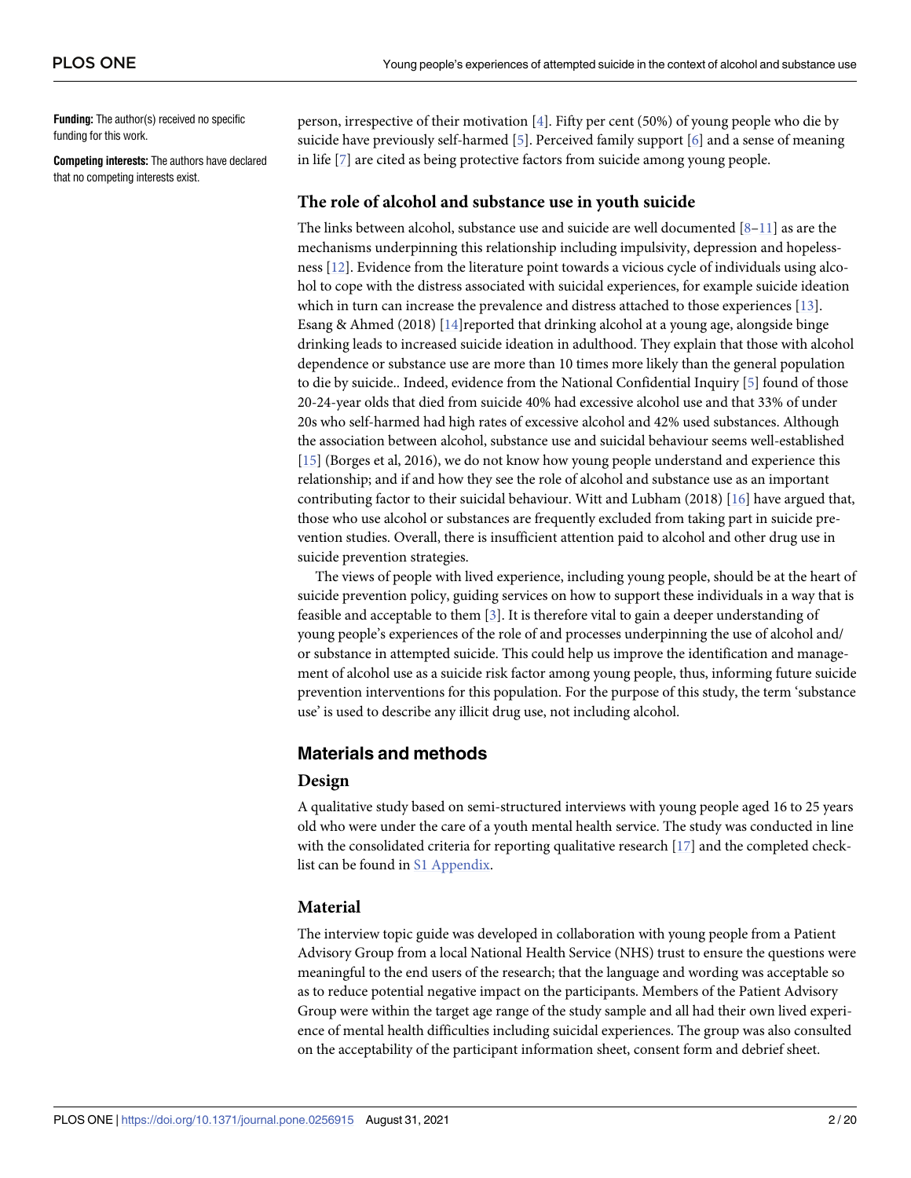<span id="page-2-0"></span>**Funding:** The author(s) received no specific funding for this work.

**Competing interests:** The authors have declared that no competing interests exist.

person, irrespective of their motivation [[4\]](#page-18-0). Fifty per cent (50%) of young people who die by suicide have previously self-harmed [[5](#page-18-0)]. Perceived family support [\[6\]](#page-18-0) and a sense of meaning in life [\[7\]](#page-18-0) are cited as being protective factors from suicide among young people.

# **The role of alcohol and substance use in youth suicide**

The links between alcohol, substance use and suicide are well documented  $[8-11]$  as are the mechanisms underpinning this relationship including impulsivity, depression and hopelessness [[12](#page-19-0)]. Evidence from the literature point towards a vicious cycle of individuals using alcohol to cope with the distress associated with suicidal experiences, for example suicide ideation which in turn can increase the prevalence and distress attached to those experiences [[13](#page-19-0)]. Esang & Ahmed (2018) [[14](#page-19-0)]reported that drinking alcohol at a young age, alongside binge drinking leads to increased suicide ideation in adulthood. They explain that those with alcohol dependence or substance use are more than 10 times more likely than the general population to die by suicide.. Indeed, evidence from the National Confidential Inquiry [\[5](#page-18-0)] found of those 20-24-year olds that died from suicide 40% had excessive alcohol use and that 33% of under 20s who self-harmed had high rates of excessive alcohol and 42% used substances. Although the association between alcohol, substance use and suicidal behaviour seems well-established [\[15\]](#page-19-0) (Borges et al, 2016), we do not know how young people understand and experience this relationship; and if and how they see the role of alcohol and substance use as an important contributing factor to their suicidal behaviour. Witt and Lubham (2018) [[16](#page-19-0)] have argued that, those who use alcohol or substances are frequently excluded from taking part in suicide prevention studies. Overall, there is insufficient attention paid to alcohol and other drug use in suicide prevention strategies.

The views of people with lived experience, including young people, should be at the heart of suicide prevention policy, guiding services on how to support these individuals in a way that is feasible and acceptable to them [\[3\]](#page-18-0). It is therefore vital to gain a deeper understanding of young people's experiences of the role of and processes underpinning the use of alcohol and/ or substance in attempted suicide. This could help us improve the identification and management of alcohol use as a suicide risk factor among young people, thus, informing future suicide prevention interventions for this population. For the purpose of this study, the term 'substance use' is used to describe any illicit drug use, not including alcohol.

# **Materials and methods**

# **Design**

A qualitative study based on semi-structured interviews with young people aged 16 to 25 years old who were under the care of a youth mental health service. The study was conducted in line with the consolidated criteria for reporting qualitative research  $[17]$  $[17]$  $[17]$  and the completed checklist can be found in S1 [Appendix](#page-17-0).

# **Material**

The interview topic guide was developed in collaboration with young people from a Patient Advisory Group from a local National Health Service (NHS) trust to ensure the questions were meaningful to the end users of the research; that the language and wording was acceptable so as to reduce potential negative impact on the participants. Members of the Patient Advisory Group were within the target age range of the study sample and all had their own lived experience of mental health difficulties including suicidal experiences. The group was also consulted on the acceptability of the participant information sheet, consent form and debrief sheet.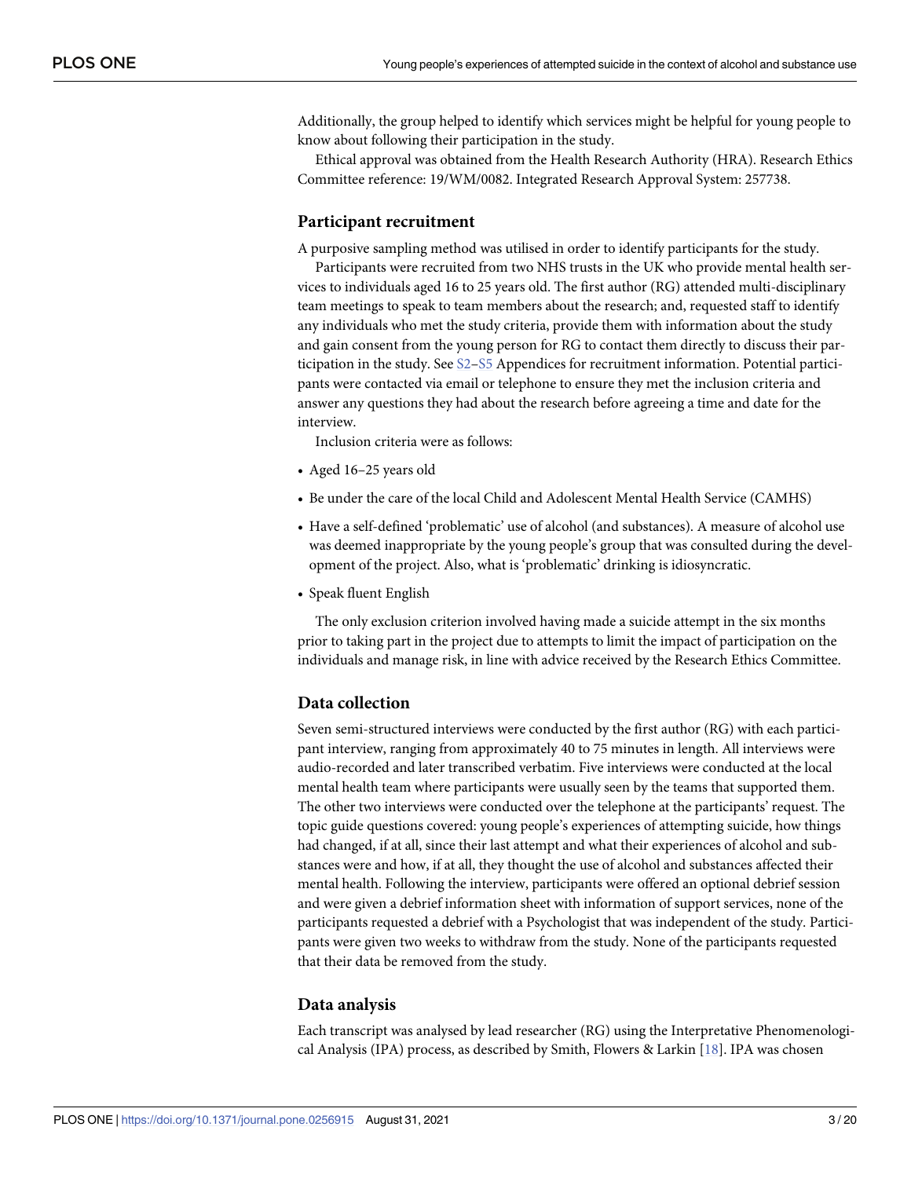<span id="page-3-0"></span>Additionally, the group helped to identify which services might be helpful for young people to know about following their participation in the study.

Ethical approval was obtained from the Health Research Authority (HRA). Research Ethics Committee reference: 19/WM/0082. Integrated Research Approval System: 257738.

#### **Participant recruitment**

A purposive sampling method was utilised in order to identify participants for the study.

Participants were recruited from two NHS trusts in the UK who provide mental health services to individuals aged 16 to 25 years old. The first author (RG) attended multi-disciplinary team meetings to speak to team members about the research; and, requested staff to identify any individuals who met the study criteria, provide them with information about the study and gain consent from the young person for RG to contact them directly to discuss their participation in the study. See [S2–S5](#page-18-0) Appendices for recruitment information. Potential participants were contacted via email or telephone to ensure they met the inclusion criteria and answer any questions they had about the research before agreeing a time and date for the interview.

Inclusion criteria were as follows:

- Aged 16–25 years old
- Be under the care of the local Child and Adolescent Mental Health Service (CAMHS)
- Have a self-defined 'problematic' use of alcohol (and substances). A measure of alcohol use was deemed inappropriate by the young people's group that was consulted during the development of the project. Also, what is 'problematic' drinking is idiosyncratic.
- Speak fluent English

The only exclusion criterion involved having made a suicide attempt in the six months prior to taking part in the project due to attempts to limit the impact of participation on the individuals and manage risk, in line with advice received by the Research Ethics Committee.

# **Data collection**

Seven semi-structured interviews were conducted by the first author (RG) with each participant interview, ranging from approximately 40 to 75 minutes in length. All interviews were audio-recorded and later transcribed verbatim. Five interviews were conducted at the local mental health team where participants were usually seen by the teams that supported them. The other two interviews were conducted over the telephone at the participants' request. The topic guide questions covered: young people's experiences of attempting suicide, how things had changed, if at all, since their last attempt and what their experiences of alcohol and substances were and how, if at all, they thought the use of alcohol and substances affected their mental health. Following the interview, participants were offered an optional debrief session and were given a debrief information sheet with information of support services, none of the participants requested a debrief with a Psychologist that was independent of the study. Participants were given two weeks to withdraw from the study. None of the participants requested that their data be removed from the study.

#### **Data analysis**

Each transcript was analysed by lead researcher (RG) using the Interpretative Phenomenological Analysis (IPA) process, as described by Smith, Flowers & Larkin [[18](#page-19-0)]. IPA was chosen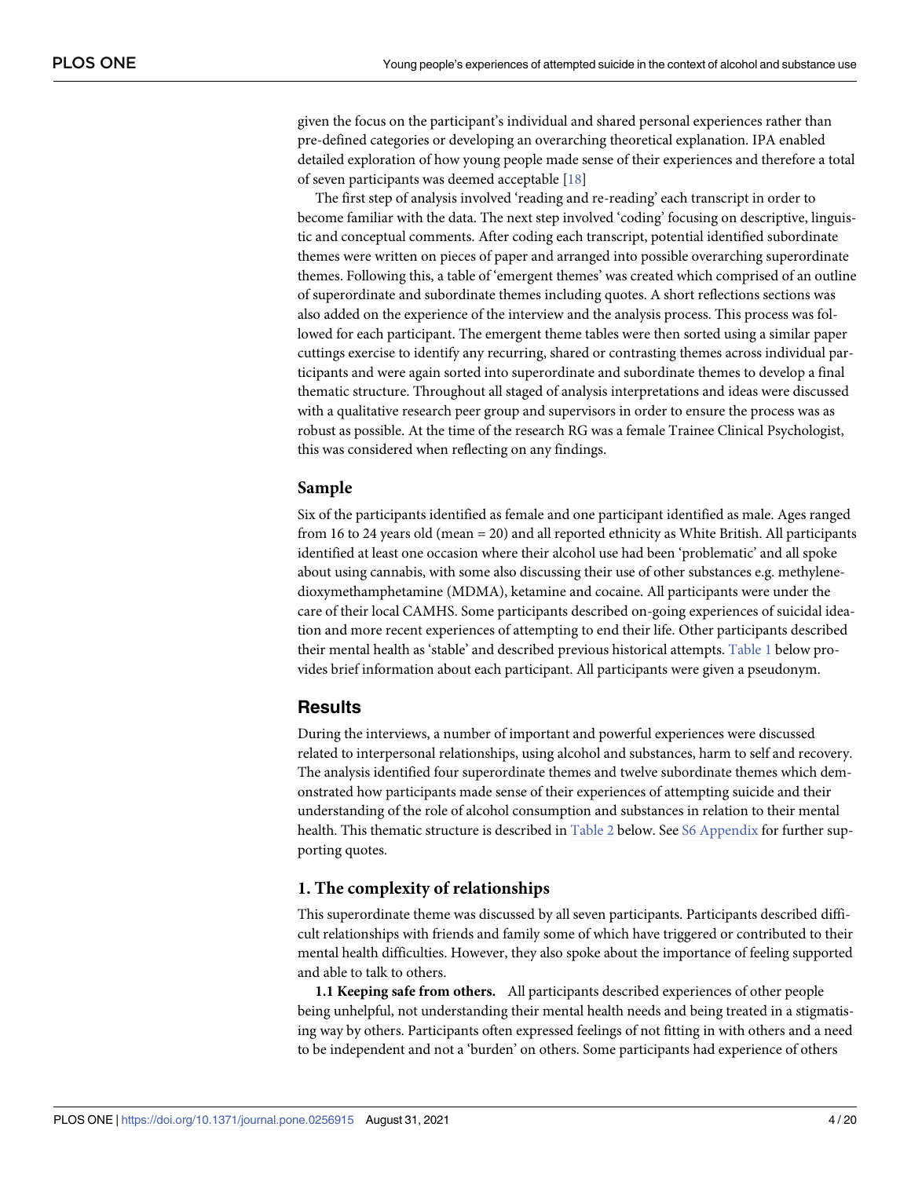<span id="page-4-0"></span>given the focus on the participant's individual and shared personal experiences rather than pre-defined categories or developing an overarching theoretical explanation. IPA enabled detailed exploration of how young people made sense of their experiences and therefore a total of seven participants was deemed acceptable [[18](#page-19-0)]

The first step of analysis involved 'reading and re-reading' each transcript in order to become familiar with the data. The next step involved 'coding' focusing on descriptive, linguistic and conceptual comments. After coding each transcript, potential identified subordinate themes were written on pieces of paper and arranged into possible overarching superordinate themes. Following this, a table of 'emergent themes' was created which comprised of an outline of superordinate and subordinate themes including quotes. A short reflections sections was also added on the experience of the interview and the analysis process. This process was followed for each participant. The emergent theme tables were then sorted using a similar paper cuttings exercise to identify any recurring, shared or contrasting themes across individual participants and were again sorted into superordinate and subordinate themes to develop a final thematic structure. Throughout all staged of analysis interpretations and ideas were discussed with a qualitative research peer group and supervisors in order to ensure the process was as robust as possible. At the time of the research RG was a female Trainee Clinical Psychologist, this was considered when reflecting on any findings.

### **Sample**

Six of the participants identified as female and one participant identified as male. Ages ranged from 16 to 24 years old (mean = 20) and all reported ethnicity as White British. All participants identified at least one occasion where their alcohol use had been 'problematic' and all spoke about using cannabis, with some also discussing their use of other substances e.g. methylenedioxymethamphetamine (MDMA), ketamine and cocaine. All participants were under the care of their local CAMHS. Some participants described on-going experiences of suicidal ideation and more recent experiences of attempting to end their life. Other participants described their mental health as 'stable' and described previous historical attempts. [Table](#page-5-0) 1 below provides brief information about each participant. All participants were given a pseudonym.

# **Results**

During the interviews, a number of important and powerful experiences were discussed related to interpersonal relationships, using alcohol and substances, harm to self and recovery. The analysis identified four superordinate themes and twelve subordinate themes which demonstrated how participants made sense of their experiences of attempting suicide and their understanding of the role of alcohol consumption and substances in relation to their mental health. This thematic structure is described in [Table](#page-6-0) 2 below. See S6 [Appendix](#page-18-0) for further supporting quotes.

# **1. The complexity of relationships**

This superordinate theme was discussed by all seven participants. Participants described difficult relationships with friends and family some of which have triggered or contributed to their mental health difficulties. However, they also spoke about the importance of feeling supported and able to talk to others.

**1.1 Keeping safe from others.** All participants described experiences of other people being unhelpful, not understanding their mental health needs and being treated in a stigmatising way by others. Participants often expressed feelings of not fitting in with others and a need to be independent and not a 'burden' on others. Some participants had experience of others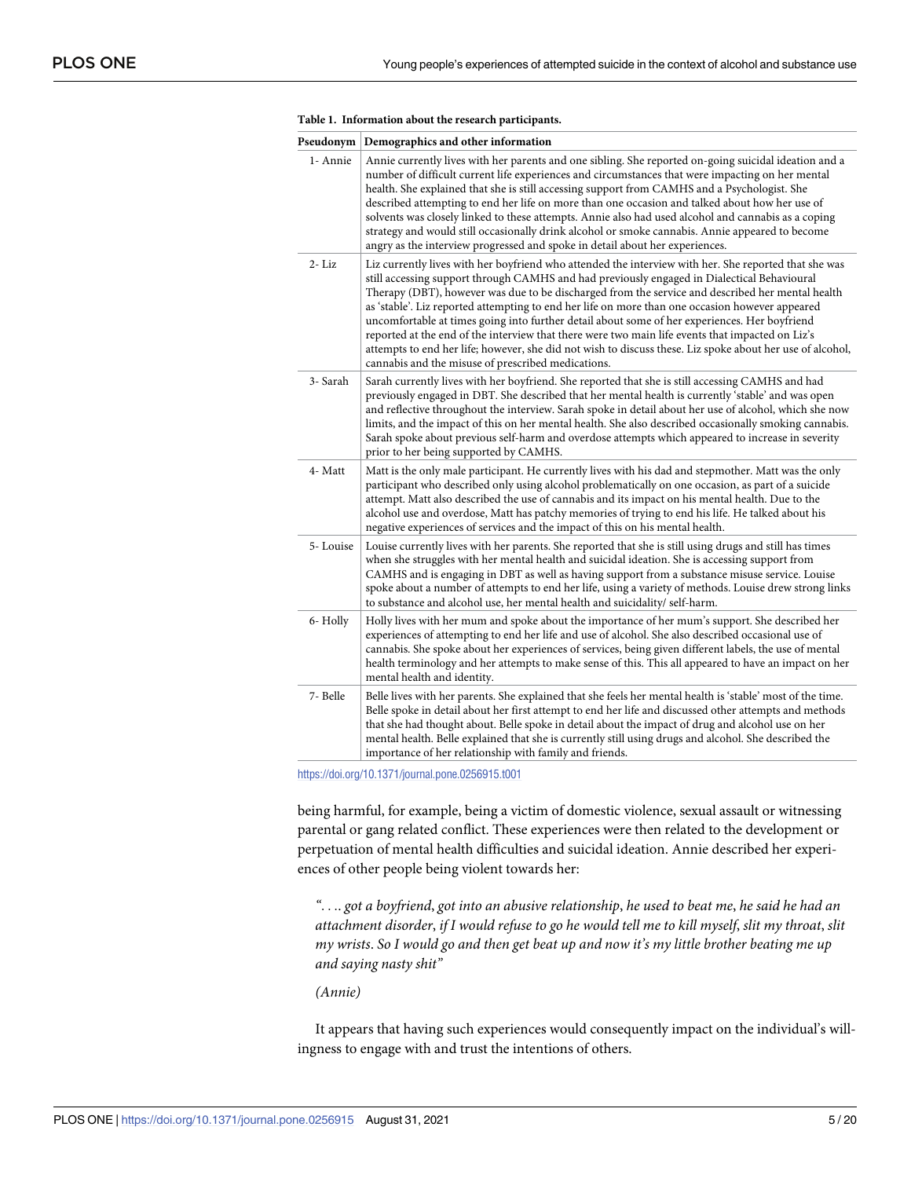<span id="page-5-0"></span>

|                  | Pseudonym Demographics and other information                                                                                                                                                                                                                                                                                                                                                                                                                                                                                                                                                                                                                                                                                                                                        |
|------------------|-------------------------------------------------------------------------------------------------------------------------------------------------------------------------------------------------------------------------------------------------------------------------------------------------------------------------------------------------------------------------------------------------------------------------------------------------------------------------------------------------------------------------------------------------------------------------------------------------------------------------------------------------------------------------------------------------------------------------------------------------------------------------------------|
| 1- Annie         | Annie currently lives with her parents and one sibling. She reported on-going suicidal ideation and a<br>number of difficult current life experiences and circumstances that were impacting on her mental<br>health. She explained that she is still accessing support from CAMHS and a Psychologist. She<br>described attempting to end her life on more than one occasion and talked about how her use of<br>solvents was closely linked to these attempts. Annie also had used alcohol and cannabis as a coping<br>strategy and would still occasionally drink alcohol or smoke cannabis. Annie appeared to become<br>angry as the interview progressed and spoke in detail about her experiences.                                                                               |
| $2 - \text{Li}z$ | Liz currently lives with her boyfriend who attended the interview with her. She reported that she was<br>still accessing support through CAMHS and had previously engaged in Dialectical Behavioural<br>Therapy (DBT), however was due to be discharged from the service and described her mental health<br>as 'stable'. Liz reported attempting to end her life on more than one occasion however appeared<br>uncomfortable at times going into further detail about some of her experiences. Her boyfriend<br>reported at the end of the interview that there were two main life events that impacted on Liz's<br>attempts to end her life; however, she did not wish to discuss these. Liz spoke about her use of alcohol,<br>cannabis and the misuse of prescribed medications. |
| 3- Sarah         | Sarah currently lives with her boyfriend. She reported that she is still accessing CAMHS and had<br>previously engaged in DBT. She described that her mental health is currently 'stable' and was open<br>and reflective throughout the interview. Sarah spoke in detail about her use of alcohol, which she now<br>limits, and the impact of this on her mental health. She also described occasionally smoking cannabis.<br>Sarah spoke about previous self-harm and overdose attempts which appeared to increase in severity<br>prior to her being supported by CAMHS.                                                                                                                                                                                                           |
| 4- Matt          | Matt is the only male participant. He currently lives with his dad and stepmother. Matt was the only<br>participant who described only using alcohol problematically on one occasion, as part of a suicide<br>attempt. Matt also described the use of cannabis and its impact on his mental health. Due to the<br>alcohol use and overdose, Matt has patchy memories of trying to end his life. He talked about his<br>negative experiences of services and the impact of this on his mental health.                                                                                                                                                                                                                                                                                |
| 5-Louise         | Louise currently lives with her parents. She reported that she is still using drugs and still has times<br>when she struggles with her mental health and suicidal ideation. She is accessing support from<br>CAMHS and is engaging in DBT as well as having support from a substance misuse service. Louise<br>spoke about a number of attempts to end her life, using a variety of methods. Louise drew strong links<br>to substance and alcohol use, her mental health and suicidality/ self-harm.                                                                                                                                                                                                                                                                                |
| 6-Holly          | Holly lives with her mum and spoke about the importance of her mum's support. She described her<br>experiences of attempting to end her life and use of alcohol. She also described occasional use of<br>cannabis. She spoke about her experiences of services, being given different labels, the use of mental<br>health terminology and her attempts to make sense of this. This all appeared to have an impact on her<br>mental health and identity.                                                                                                                                                                                                                                                                                                                             |
| 7- Belle         | Belle lives with her parents. She explained that she feels her mental health is 'stable' most of the time.<br>Belle spoke in detail about her first attempt to end her life and discussed other attempts and methods<br>that she had thought about. Belle spoke in detail about the impact of drug and alcohol use on her<br>mental health. Belle explained that she is currently still using drugs and alcohol. She described the<br>importance of her relationship with family and friends.                                                                                                                                                                                                                                                                                       |

#### **[Table](#page-4-0) 1. Information about the research participants.**

<https://doi.org/10.1371/journal.pone.0256915.t001>

being harmful, for example, being a victim of domestic violence, sexual assault or witnessing parental or gang related conflict. These experiences were then related to the development or perpetuation of mental health difficulties and suicidal ideation. Annie described her experiences of other people being violent towards her:

".... got a boyfriend, got into an abusive relationship, he used to beat me, he said he had an attachment disorder, if I would refuse to go he would tell me to kill myself, slit my throat, slit my wrists. So I would go and then get beat up and now it's my little brother beating me up *and saying nasty shit"*

*(Annie)*

It appears that having such experiences would consequently impact on the individual's willingness to engage with and trust the intentions of others.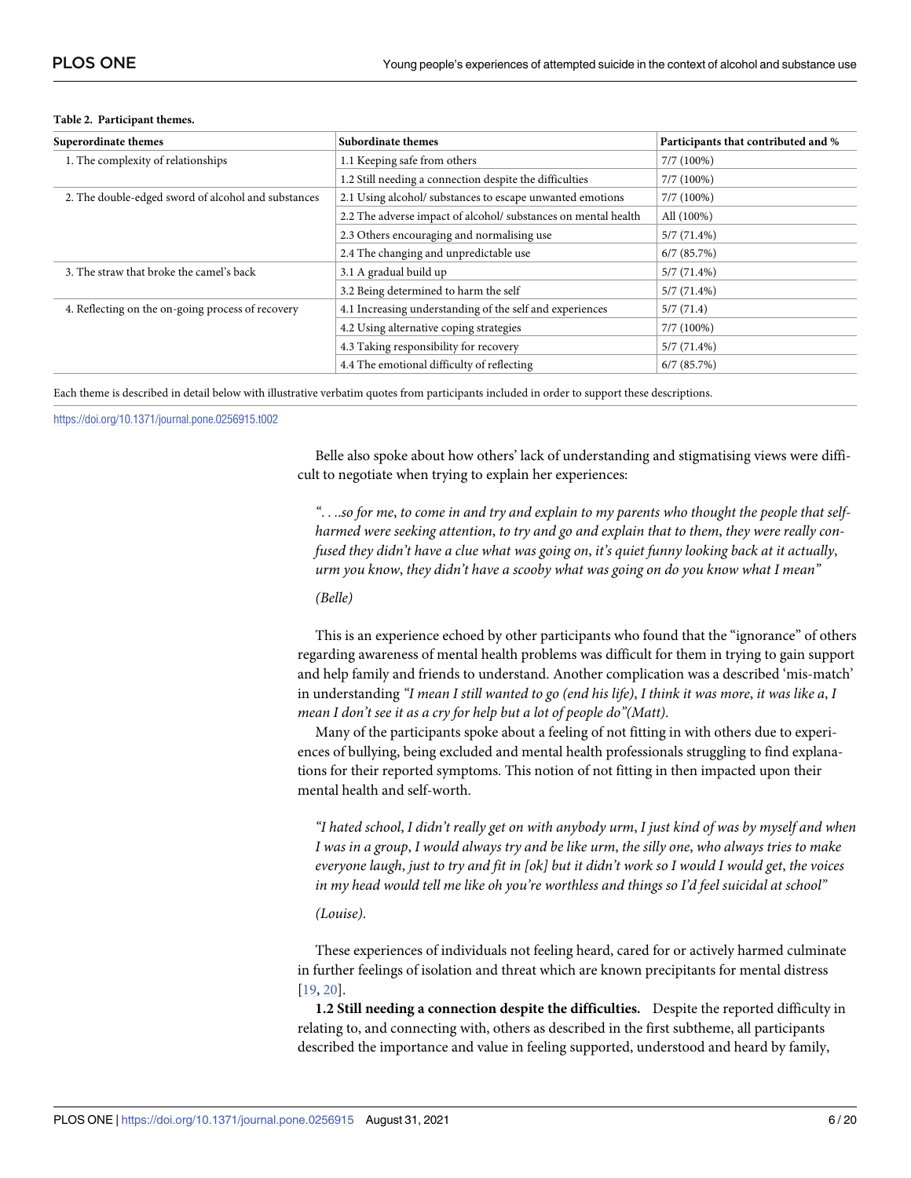| <b>Superordinate themes</b>                         | Subordinate themes                                             | Participants that contributed and % |
|-----------------------------------------------------|----------------------------------------------------------------|-------------------------------------|
| 1. The complexity of relationships                  | 1.1 Keeping safe from others                                   | $7/7(100\%)$                        |
|                                                     | 1.2 Still needing a connection despite the difficulties        | $7/7(100\%)$                        |
| 2. The double-edged sword of alcohol and substances | 2.1 Using alcohol/ substances to escape unwanted emotions      | $7/7(100\%)$                        |
|                                                     | 2.2 The adverse impact of alcohol/ substances on mental health | All (100%)                          |
|                                                     | 2.3 Others encouraging and normalising use                     | $5/7(71.4\%)$                       |
|                                                     | 2.4 The changing and unpredictable use                         | 6/7(85.7%)                          |
| 3. The straw that broke the camel's back            | 3.1 A gradual build up                                         | $5/7(71.4\%)$                       |
|                                                     | 3.2 Being determined to harm the self                          | $5/7(71.4\%)$                       |
| 4. Reflecting on the on-going process of recovery   | 4.1 Increasing understanding of the self and experiences       | 5/7(71.4)                           |
|                                                     | 4.2 Using alternative coping strategies                        | $7/7(100\%)$                        |
|                                                     | 4.3 Taking responsibility for recovery                         | $5/7(71.4\%)$                       |
|                                                     | 4.4 The emotional difficulty of reflecting                     | 6/7(85.7%)                          |
|                                                     |                                                                |                                     |

#### <span id="page-6-0"></span>**[Table](#page-4-0) 2. Participant themes.**

Each theme is described in detail below with illustrative verbatim quotes from participants included in order to support these descriptions.

<https://doi.org/10.1371/journal.pone.0256915.t002>

Belle also spoke about how others' lack of understanding and stigmatising views were difficult to negotiate when trying to explain her experiences:

"...so for me, to come in and try and explain to my parents who thought the people that self*harmed were seeking attention*, *to try and go and explain that to them*, *they were really confused they didn't have a clue what was going on*, *it's quiet funny looking back at it actually*, *urm you know*, *they didn't have a scooby what was going on do you know what I mean"*

#### *(Belle)*

This is an experience echoed by other participants who found that the "ignorance" of others regarding awareness of mental health problems was difficult for them in trying to gain support and help family and friends to understand. Another complication was a described 'mis-match' in understanding "I mean I still wanted to go (end his life), I think it was more, it was like a, I *mean I don't see it as a cry for help but a lot of people do"(Matt)*.

Many of the participants spoke about a feeling of not fitting in with others due to experiences of bullying, being excluded and mental health professionals struggling to find explanations for their reported symptoms. This notion of not fitting in then impacted upon their mental health and self-worth.

"I hated school, I didn't really get on with anybody urm, I just kind of was by myself and when I was in a group, I would always try and be like urm, the silly one, who always tries to make everyone laugh, just to try and fit in [ok] but it didn't work so I would I would get, the voices *in my head would tell me like oh you're worthless and things so I'd feel suicidal at school"*

*(Louise)*.

These experiences of individuals not feeling heard, cared for or actively harmed culminate in further feelings of isolation and threat which are known precipitants for mental distress [\[19,](#page-19-0) [20\]](#page-19-0).

**1.2 Still needing a connection despite the difficulties.** Despite the reported difficulty in relating to, and connecting with, others as described in the first subtheme, all participants described the importance and value in feeling supported, understood and heard by family,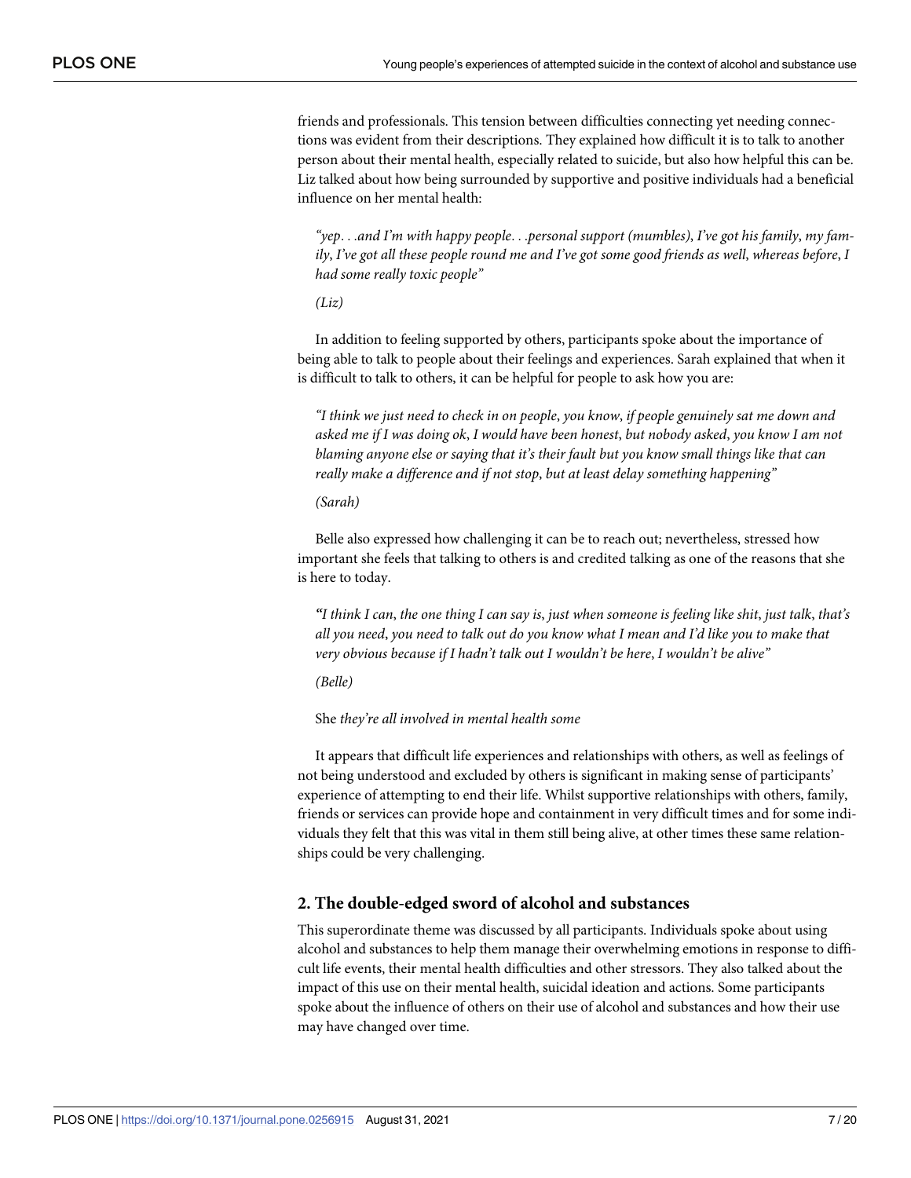friends and professionals. This tension between difficulties connecting yet needing connections was evident from their descriptions. They explained how difficult it is to talk to another person about their mental health, especially related to suicide, but also how helpful this can be. Liz talked about how being surrounded by supportive and positive individuals had a beneficial influence on her mental health:

*"yep*. . .*and I'm with happy people*. . .*personal support (mumbles)*, *I've got his family*, *my fam*ily, I've got all these people round me and I've got some good friends as well, whereas before, I *had some really toxic people"*

*(Liz)*

In addition to feeling supported by others, participants spoke about the importance of being able to talk to people about their feelings and experiences. Sarah explained that when it is difficult to talk to others, it can be helpful for people to ask how you are:

*"I think we just need to check in on people*, *you know*, *if people genuinely sat me down and* asked me if I was doing ok, I would have been honest, but nobody asked, you know I am not *blaming anyone else or saying that it's their fault but you know small things like that can really make a difference and if not stop*, *but at least delay something happening"*

#### *(Sarah)*

Belle also expressed how challenging it can be to reach out; nevertheless, stressed how important she feels that talking to others is and credited talking as one of the reasons that she is here to today.

"I think I can, the one thing I can say is, just when someone is feeling like shit, just talk, that's all you need, you need to talk out do you know what I mean and I'd like you to make that *very obvious because if I hadn't talk out I wouldn't be here*, *I wouldn't be alive"*

*(Belle)*

She *they're all involved in mental health some*

It appears that difficult life experiences and relationships with others, as well as feelings of not being understood and excluded by others is significant in making sense of participants' experience of attempting to end their life. Whilst supportive relationships with others, family, friends or services can provide hope and containment in very difficult times and for some individuals they felt that this was vital in them still being alive, at other times these same relationships could be very challenging.

## **2. The double-edged sword of alcohol and substances**

This superordinate theme was discussed by all participants. Individuals spoke about using alcohol and substances to help them manage their overwhelming emotions in response to difficult life events, their mental health difficulties and other stressors. They also talked about the impact of this use on their mental health, suicidal ideation and actions. Some participants spoke about the influence of others on their use of alcohol and substances and how their use may have changed over time.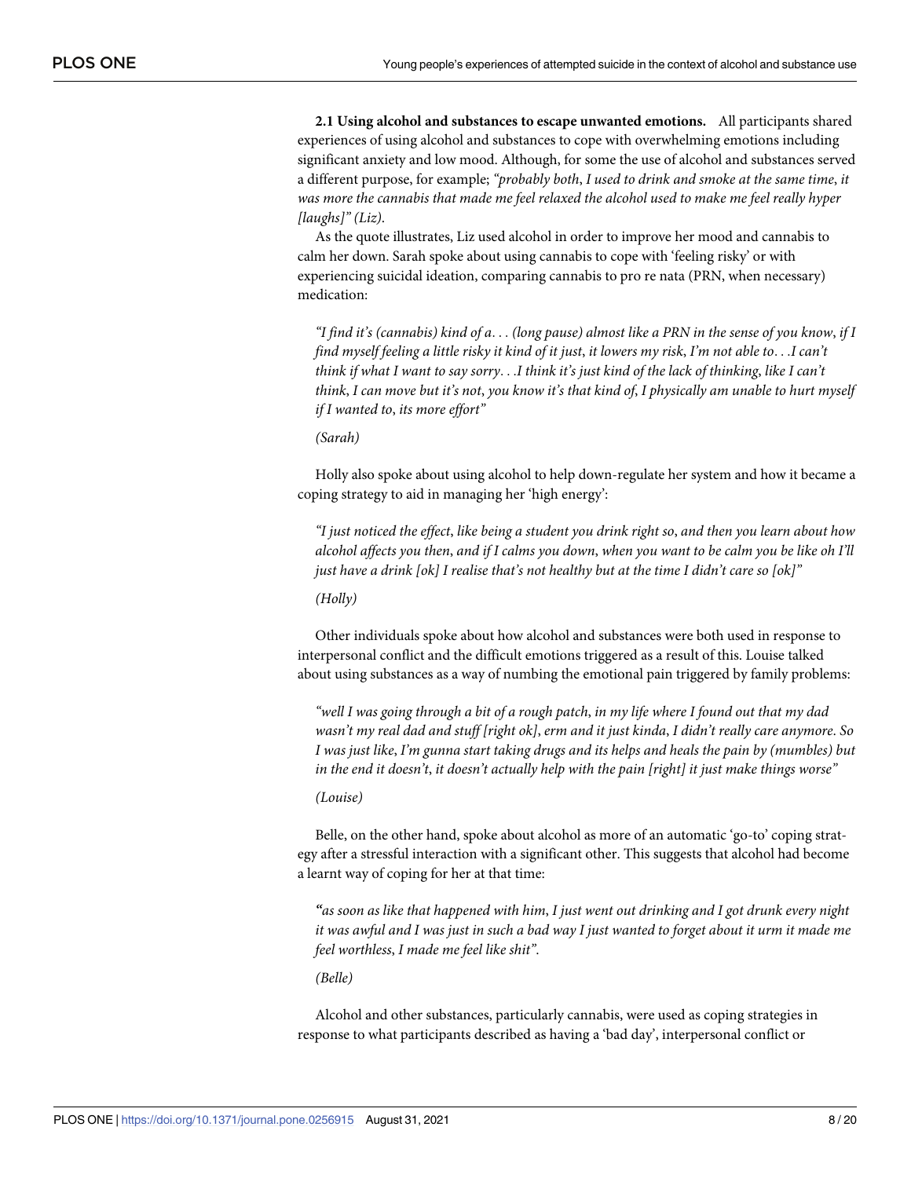**2.1 Using alcohol and substances to escape unwanted emotions.** All participants shared experiences of using alcohol and substances to cope with overwhelming emotions including significant anxiety and low mood. Although, for some the use of alcohol and substances served a different purpose, for example; *"probably both*, *I used to drink and smoke at the same time*, *it was more the cannabis that made me feel relaxed the alcohol used to make me feel really hyper [laughs]" (Liz)*.

As the quote illustrates, Liz used alcohol in order to improve her mood and cannabis to calm her down. Sarah spoke about using cannabis to cope with 'feeling risky' or with experiencing suicidal ideation, comparing cannabis to pro re nata (PRN, when necessary) medication:

"I find it's (cannabis) kind of a. . . (long pause) almost like a PRN in the sense of you know, if I find myself feeling a little risky it kind of it just, it lowers my risk, I'm not able to... I can't think if what I want to say sorry...I think it's just kind of the lack of thinking, like I can't think, I can move but it's not, you know it's that kind of, I physically am unable to hurt myself *if I wanted to*, *its more effort"*

*(Sarah)*

Holly also spoke about using alcohol to help down-regulate her system and how it became a coping strategy to aid in managing her 'high energy':

"I just noticed the effect, like being a student you drink right so, and then you learn about how alcohol affects you then, and if I calms you down, when you want to be calm you be like oh I'll *just have a drink [ok] I realise that's not healthy but at the time I didn't care so [ok]"*

*(Holly)*

Other individuals spoke about how alcohol and substances were both used in response to interpersonal conflict and the difficult emotions triggered as a result of this. Louise talked about using substances as a way of numbing the emotional pain triggered by family problems:

"well I was going through a bit of a rough patch, in my life where I found out that my dad wasn't my real dad and stuff [right ok], erm and it just kinda, I didn't really care anymore. So I was just like, I'm gunna start taking drugs and its helps and heals the pain by (mumbles) but *in the end it doesn't*, *it doesn't actually help with the pain [right] it just make things worse"*

*(Louise)*

Belle, on the other hand, spoke about alcohol as more of an automatic 'go-to' coping strategy after a stressful interaction with a significant other. This suggests that alcohol had become a learnt way of coping for her at that time:

"as soon as like that happened with him, I just went out drinking and I got drunk every night it was awful and I was just in such a bad way I just wanted to forget about it urm it made me *feel worthless*, *I made me feel like shit"*.

*(Belle)*

Alcohol and other substances, particularly cannabis, were used as coping strategies in response to what participants described as having a 'bad day', interpersonal conflict or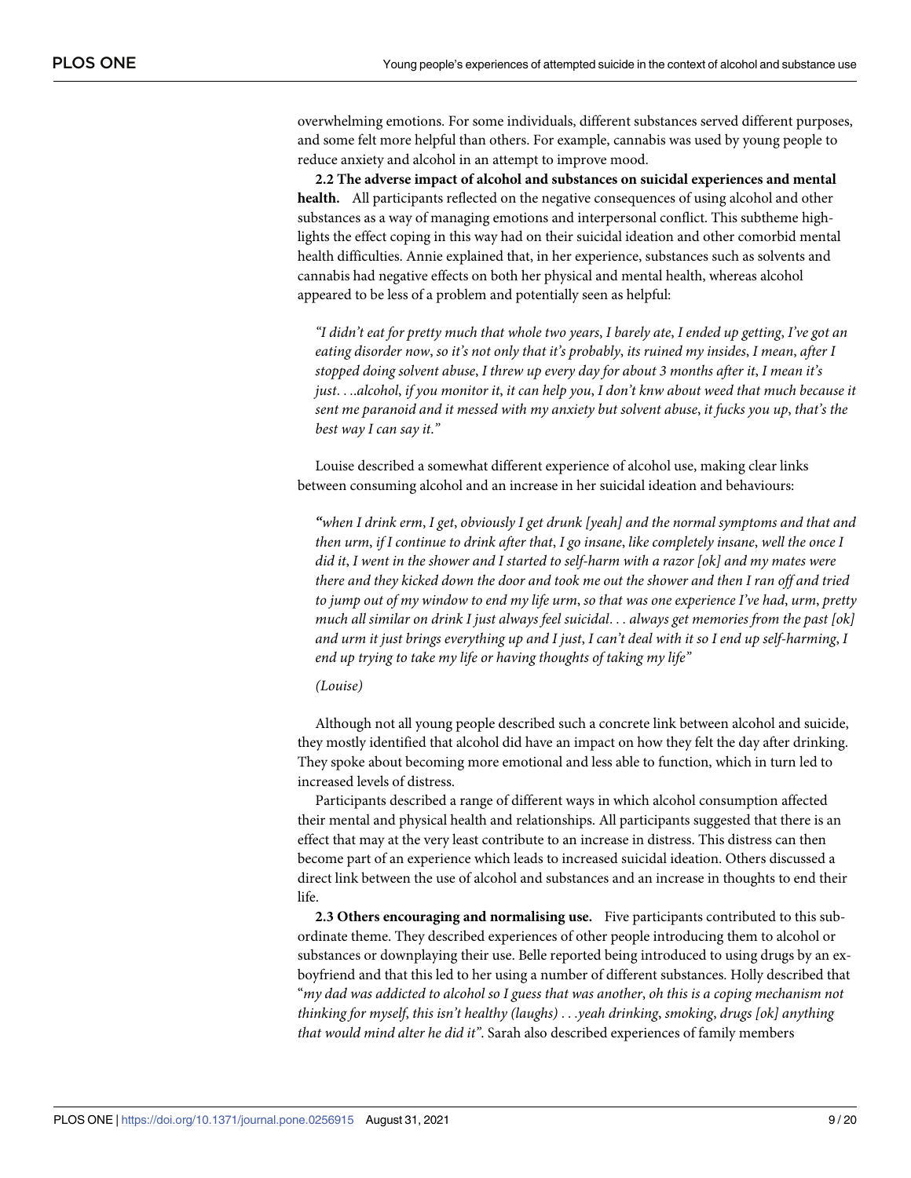overwhelming emotions. For some individuals, different substances served different purposes, and some felt more helpful than others. For example, cannabis was used by young people to reduce anxiety and alcohol in an attempt to improve mood.

**2.2 The adverse impact of alcohol and substances on suicidal experiences and mental health.** All participants reflected on the negative consequences of using alcohol and other substances as a way of managing emotions and interpersonal conflict. This subtheme highlights the effect coping in this way had on their suicidal ideation and other comorbid mental health difficulties. Annie explained that, in her experience, substances such as solvents and cannabis had negative effects on both her physical and mental health, whereas alcohol appeared to be less of a problem and potentially seen as helpful:

"I didn't eat for pretty much that whole two years, I barely ate, I ended up getting, I've got an *eating disorder now*, *so it's not only that it's probably*, *its ruined my insides*, *I mean*, *after I stopped doing solvent abuse*, *I threw up every day for about 3 months after it*, *I mean it's* just....alcohol, if you monitor it, it can help you, I don't knw about weed that much because it *sent me paranoid and it messed with my anxiety but solvent abuse*, *it fucks you up*, *that's the best way I can say it*.*"*

Louise described a somewhat different experience of alcohol use, making clear links between consuming alcohol and an increase in her suicidal ideation and behaviours:

*"when I drink erm*, *I get*, *obviously I get drunk [yeah] and the normal symptoms and that and* then urm, if I continue to drink after that, I go insane, like completely insane, well the once I did it, I went in the shower and I started to self-harm with a razor [ok] and my mates were there and they kicked down the door and took me out the shower and then I ran off and tried to jump out of my window to end my life urm, so that was one experience I've had, urm, pretty *much all similar on drink I just always feel suicidal*. . . *always get memories from the past [ok]* and urm it just brings everything up and I just, I can't deal with it so I end up self-harming, I *end up trying to take my life or having thoughts of taking my life"*

### *(Louise)*

Although not all young people described such a concrete link between alcohol and suicide, they mostly identified that alcohol did have an impact on how they felt the day after drinking. They spoke about becoming more emotional and less able to function, which in turn led to increased levels of distress.

Participants described a range of different ways in which alcohol consumption affected their mental and physical health and relationships. All participants suggested that there is an effect that may at the very least contribute to an increase in distress. This distress can then become part of an experience which leads to increased suicidal ideation. Others discussed a direct link between the use of alcohol and substances and an increase in thoughts to end their life.

**2.3 Others encouraging and normalising use.** Five participants contributed to this subordinate theme. They described experiences of other people introducing them to alcohol or substances or downplaying their use. Belle reported being introduced to using drugs by an exboyfriend and that this led to her using a number of different substances. Holly described that "my dad was addicted to alcohol so I guess that was another, oh this is a coping mechanism not *thinking for myself*, *this isn't healthy (laughs)* . . .*yeah drinking*, *smoking*, *drugs [ok] anything that would mind alter he did it"*. Sarah also described experiences of family members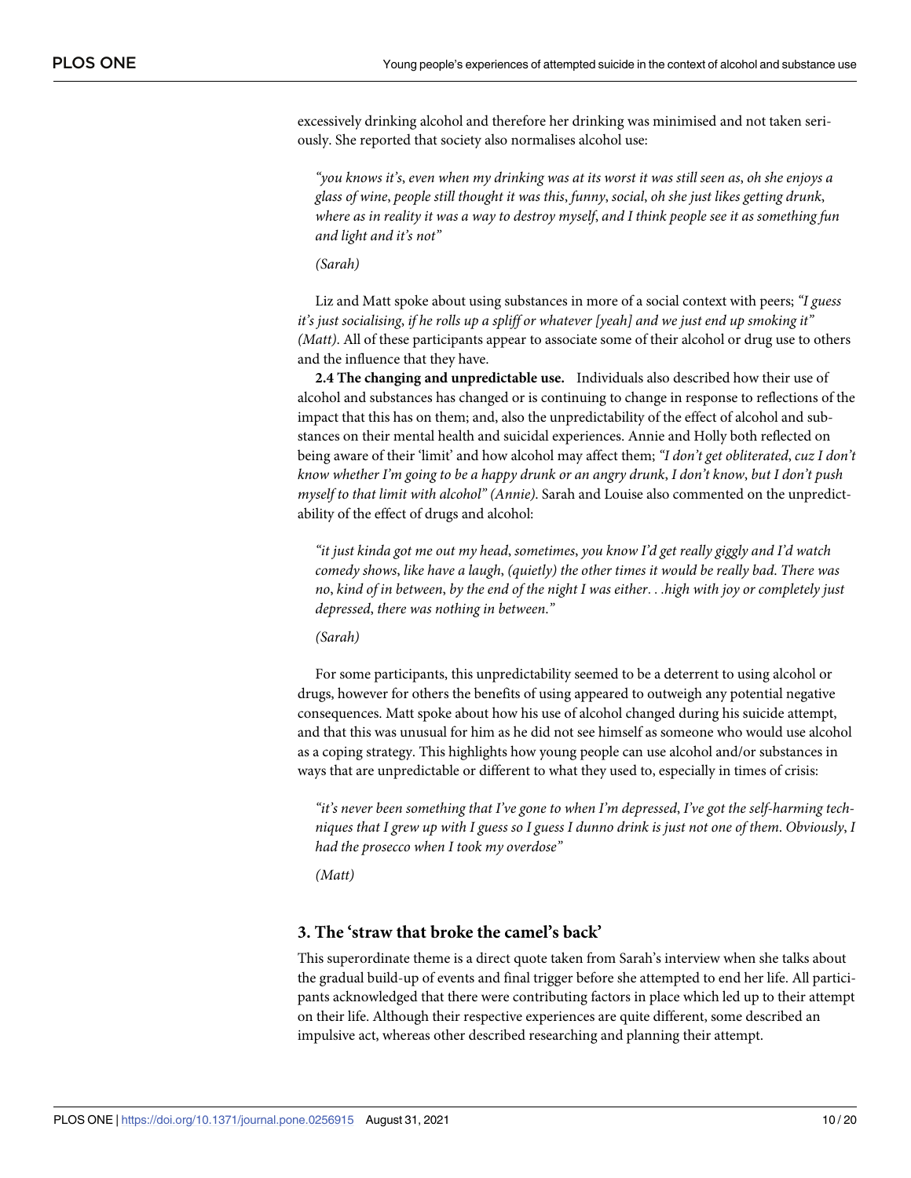excessively drinking alcohol and therefore her drinking was minimised and not taken seriously. She reported that society also normalises alcohol use:

you knows it's, even when my drinking was at its worst it was still seen as, oh she enjoys a" *glass of wine*, *people still thought it was this*, *funny*, *social*, *oh she just likes getting drunk*, where as in reality it was a way to destroy myself, and I think people see it as something fun *and light and it's not"*

*(Sarah)*

Liz and Matt spoke about using substances in more of a social context with peers; *"I guess* it's just socialising, if he rolls up a spliff or whatever [yeah] and we just end up smoking it" *(Matt)*. All of these participants appear to associate some of their alcohol or drug use to others and the influence that they have.

**2.4 The changing and unpredictable use.** Individuals also described how their use of alcohol and substances has changed or is continuing to change in response to reflections of the impact that this has on them; and, also the unpredictability of the effect of alcohol and substances on their mental health and suicidal experiences. Annie and Holly both reflected on being aware of their 'limit' and how alcohol may affect them; *"I don't get obliterated*, *cuz I don't* know whether I'm going to be a happy drunk or an angry drunk, I don't know, but I don't push *myself to that limit with alcohol" (Annie)*. Sarah and Louise also commented on the unpredictability of the effect of drugs and alcohol:

*"it just kinda got me out my head*, *sometimes*, *you know I'd get really giggly and I'd watch comedy shows*, *like have a laugh*, *(quietly) the other times it would be really bad*. *There was* no, kind of in between, by the end of the night I was either. . .high with joy or completely just *depressed*, *there was nothing in between*.*"*

*(Sarah)*

For some participants, this unpredictability seemed to be a deterrent to using alcohol or drugs, however for others the benefits of using appeared to outweigh any potential negative consequences. Matt spoke about how his use of alcohol changed during his suicide attempt, and that this was unusual for him as he did not see himself as someone who would use alcohol as a coping strategy. This highlights how young people can use alcohol and/or substances in ways that are unpredictable or different to what they used to, especially in times of crisis:

*"it's never been something that I've gone to when I'm depressed*, *I've got the self-harming tech*niques that I grew up with I guess so I guess I dunno drink is just not one of them. Obviously, I *had the prosecco when I took my overdose"*

*(Matt)*

# **3. The 'straw that broke the camel's back'**

This superordinate theme is a direct quote taken from Sarah's interview when she talks about the gradual build-up of events and final trigger before she attempted to end her life. All participants acknowledged that there were contributing factors in place which led up to their attempt on their life. Although their respective experiences are quite different, some described an impulsive act, whereas other described researching and planning their attempt.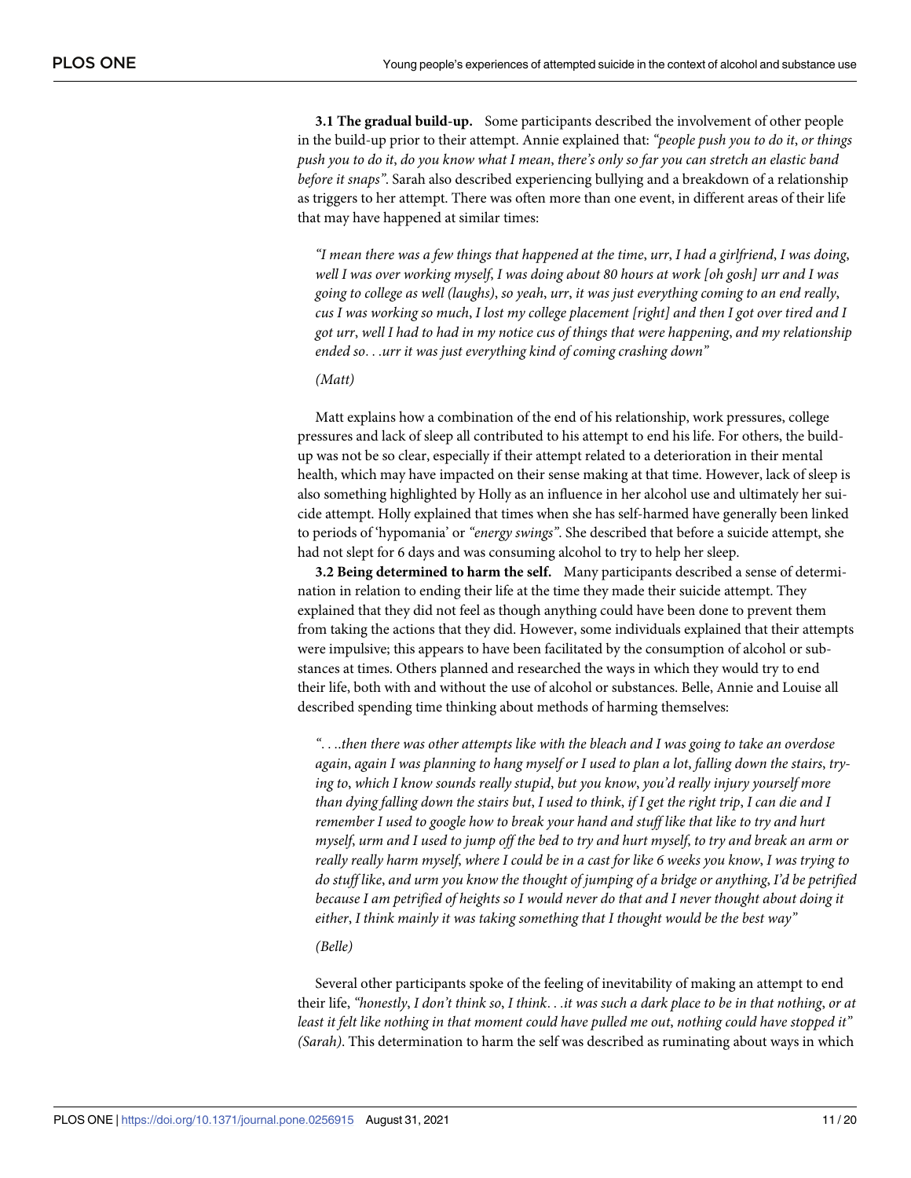**3.1 The gradual build-up.** Some participants described the involvement of other people in the build-up prior to their attempt. Annie explained that: *"people push you to do it*, *or things* push you to do it, do you know what I mean, there's only so far you can stretch an elastic band *before it snaps"*. Sarah also described experiencing bullying and a breakdown of a relationship as triggers to her attempt. There was often more than one event, in different areas of their life that may have happened at similar times:

"I mean there was a few things that happened at the time, urr, I had a girlfriend, I was doing, well I was over working myself, I was doing about 80 hours at work [oh gosh] urr and I was *going to college as well (laughs)*, *so yeah*, *urr*, *it was just everything coming to an end really*, cus I was working so much, I lost my college placement [right] and then I got over tired and I got urr, well I had to had in my notice cus of things that were happening, and my relationship *ended so*. . .*urr it was just everything kind of coming crashing down"*

#### *(Matt)*

Matt explains how a combination of the end of his relationship, work pressures, college pressures and lack of sleep all contributed to his attempt to end his life. For others, the buildup was not be so clear, especially if their attempt related to a deterioration in their mental health, which may have impacted on their sense making at that time. However, lack of sleep is also something highlighted by Holly as an influence in her alcohol use and ultimately her suicide attempt. Holly explained that times when she has self-harmed have generally been linked to periods of 'hypomania' or *"energy swings"*. She described that before a suicide attempt, she had not slept for 6 days and was consuming alcohol to try to help her sleep.

**3.2 Being determined to harm the self.** Many participants described a sense of determination in relation to ending their life at the time they made their suicide attempt. They explained that they did not feel as though anything could have been done to prevent them from taking the actions that they did. However, some individuals explained that their attempts were impulsive; this appears to have been facilitated by the consumption of alcohol or substances at times. Others planned and researched the ways in which they would try to end their life, both with and without the use of alcohol or substances. Belle, Annie and Louise all described spending time thinking about methods of harming themselves:

*"*. . ..*then there was other attempts like with the bleach and I was going to take an overdose* again, again I was planning to hang myself or I used to plan a lot, falling down the stairs, try*ing to*, *which I know sounds really stupid*, *but you know*, *you'd really injury yourself more* than dying falling down the stairs but, I used to think, if I get the right trip, I can die and I *remember I used to google how to break your hand and stuff like that like to try and hurt* myself, urm and I used to jump off the bed to try and hurt myself, to try and break an arm or really really harm myself, where I could be in a cast for like 6 weeks you know, I was trying to do stuff like, and urm you know the thought of jumping of a bridge or anything, I'd be petrified because I am petrified of heights so I would never do that and I never thought about doing it *either*, *I think mainly it was taking something that I thought would be the best way"*

#### *(Belle)*

Several other participants spoke of the feeling of inevitability of making an attempt to end their life, "honestly, I don't think so, I think...it was such a dark place to be in that nothing, or at *least it felt like nothing in that moment could have pulled me out*, *nothing could have stopped it" (Sarah)*. This determination to harm the self was described as ruminating about ways in which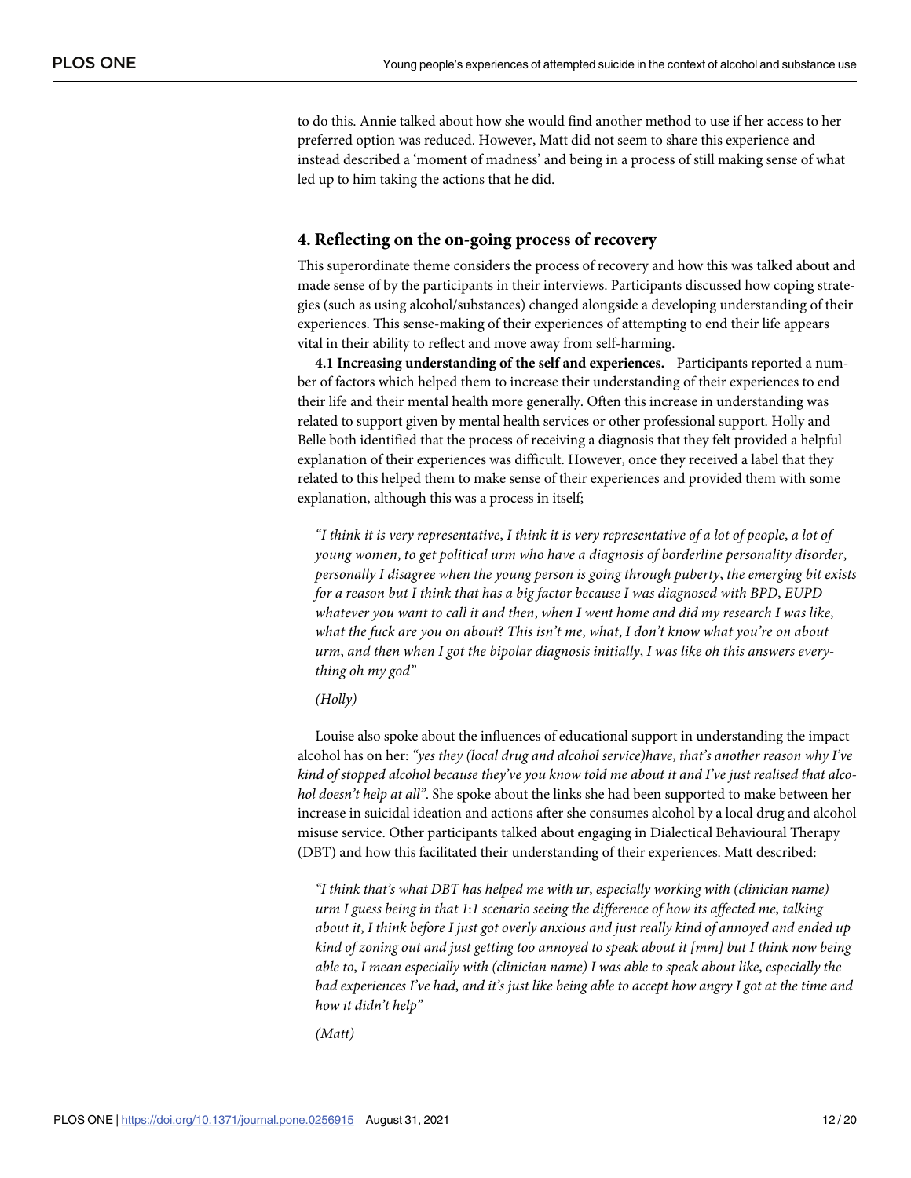to do this. Annie talked about how she would find another method to use if her access to her preferred option was reduced. However, Matt did not seem to share this experience and instead described a 'moment of madness' and being in a process of still making sense of what led up to him taking the actions that he did.

### **4. Reflecting on the on-going process of recovery**

This superordinate theme considers the process of recovery and how this was talked about and made sense of by the participants in their interviews. Participants discussed how coping strategies (such as using alcohol/substances) changed alongside a developing understanding of their experiences. This sense-making of their experiences of attempting to end their life appears vital in their ability to reflect and move away from self-harming.

**4.1 Increasing understanding of the self and experiences.** Participants reported a number of factors which helped them to increase their understanding of their experiences to end their life and their mental health more generally. Often this increase in understanding was related to support given by mental health services or other professional support. Holly and Belle both identified that the process of receiving a diagnosis that they felt provided a helpful explanation of their experiences was difficult. However, once they received a label that they related to this helped them to make sense of their experiences and provided them with some explanation, although this was a process in itself;

"I think it is very representative, I think it is very representative of a lot of people, a lot of *young women*, *to get political urm who have a diagnosis of borderline personality disorder*, *personally I disagree when the young person is going through puberty*, *the emerging bit exists for a reason but I think that has a big factor because I was diagnosed with BPD*, *EUPD whatever you want to call it and then*, *when I went home and did my research I was like*, *what the fuck are you on about*? *This isn't me*, *what*, *I don't know what you're on about urm*, *and then when I got the bipolar diagnosis initially*, *I was like oh this answers everything oh my god"*

#### *(Holly)*

Louise also spoke about the influences of educational support in understanding the impact alcohol has on her: *"yes they (local drug and alcohol service)have*, *that's another reason why I've* kind of stopped alcohol because they've you know told me about it and I've just realised that alco*hol doesn't help at all"*. She spoke about the links she had been supported to make between her increase in suicidal ideation and actions after she consumes alcohol by a local drug and alcohol misuse service. Other participants talked about engaging in Dialectical Behavioural Therapy (DBT) and how this facilitated their understanding of their experiences. Matt described:

*"I think that's what DBT has helped me with ur*, *especially working with (clinician name) urm I guess being in that 1*:*1 scenario seeing the difference of how its affected me*, *talking* about it, I think before I just got overly anxious and just really kind of annoyed and ended up kind of zoning out and just getting too annoyed to speak about it [mm] but I think now being *able to*, *I mean especially with (clinician name) I was able to speak about like*, *especially the* bad experiences I've had, and it's just like being able to accept how angry I got at the time and *how it didn't help"*

*(Matt)*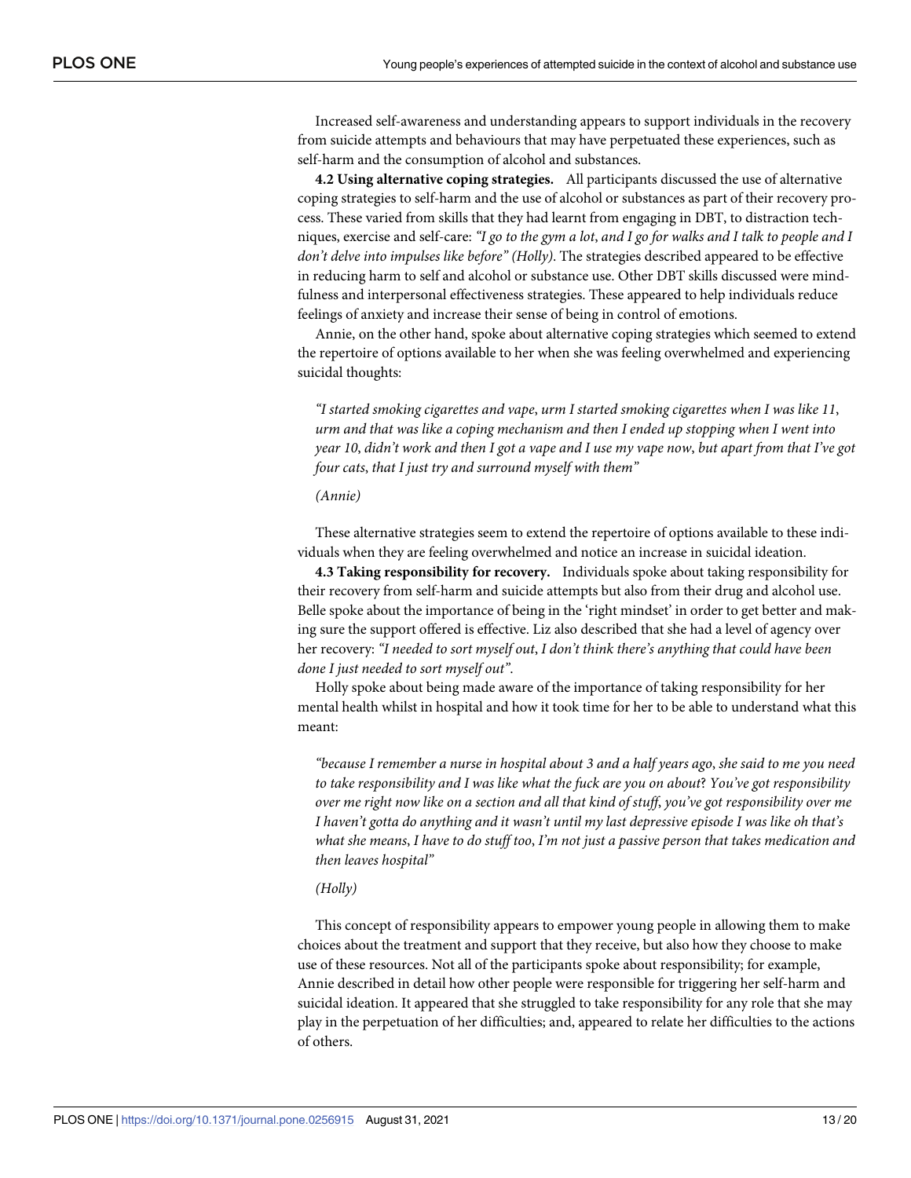Increased self-awareness and understanding appears to support individuals in the recovery from suicide attempts and behaviours that may have perpetuated these experiences, such as self-harm and the consumption of alcohol and substances.

**4.2 Using alternative coping strategies.** All participants discussed the use of alternative coping strategies to self-harm and the use of alcohol or substances as part of their recovery process. These varied from skills that they had learnt from engaging in DBT, to distraction techniques, exercise and self-care: "I go to the gym a lot, and I go for walks and I talk to people and I *don't delve into impulses like before" (Holly)*. The strategies described appeared to be effective in reducing harm to self and alcohol or substance use. Other DBT skills discussed were mindfulness and interpersonal effectiveness strategies. These appeared to help individuals reduce feelings of anxiety and increase their sense of being in control of emotions.

Annie, on the other hand, spoke about alternative coping strategies which seemed to extend the repertoire of options available to her when she was feeling overwhelmed and experiencing suicidal thoughts:

*"I started smoking cigarettes and vape*, *urm I started smoking cigarettes when I was like 11*, *urm and that was like a coping mechanism and then I ended up stopping when I went into* year 10, didn't work and then I got a vape and I use my vape now, but apart from that I've got *four cats*, *that I just try and surround myself with them"*

#### *(Annie)*

These alternative strategies seem to extend the repertoire of options available to these individuals when they are feeling overwhelmed and notice an increase in suicidal ideation.

**4.3 Taking responsibility for recovery.** Individuals spoke about taking responsibility for their recovery from self-harm and suicide attempts but also from their drug and alcohol use. Belle spoke about the importance of being in the 'right mindset' in order to get better and making sure the support offered is effective. Liz also described that she had a level of agency over her recovery: *"I needed to sort myself out*, *I don't think there's anything that could have been done I just needed to sort myself out"*.

Holly spoke about being made aware of the importance of taking responsibility for her mental health whilst in hospital and how it took time for her to be able to understand what this meant:

"because I remember a nurse in hospital about 3 and a half years ago, she said to me you need *to take responsibility and I was like what the fuck are you on about*? *You've got responsibility* over me right now like on a section and all that kind of stuff, you've got responsibility over me *I haven't gotta do anything and it wasn't until my last depressive episode I was like oh that's* what she means, I have to do stuff too, I'm not just a passive person that takes medication and *then leaves hospital"*

#### *(Holly)*

This concept of responsibility appears to empower young people in allowing them to make choices about the treatment and support that they receive, but also how they choose to make use of these resources. Not all of the participants spoke about responsibility; for example, Annie described in detail how other people were responsible for triggering her self-harm and suicidal ideation. It appeared that she struggled to take responsibility for any role that she may play in the perpetuation of her difficulties; and, appeared to relate her difficulties to the actions of others.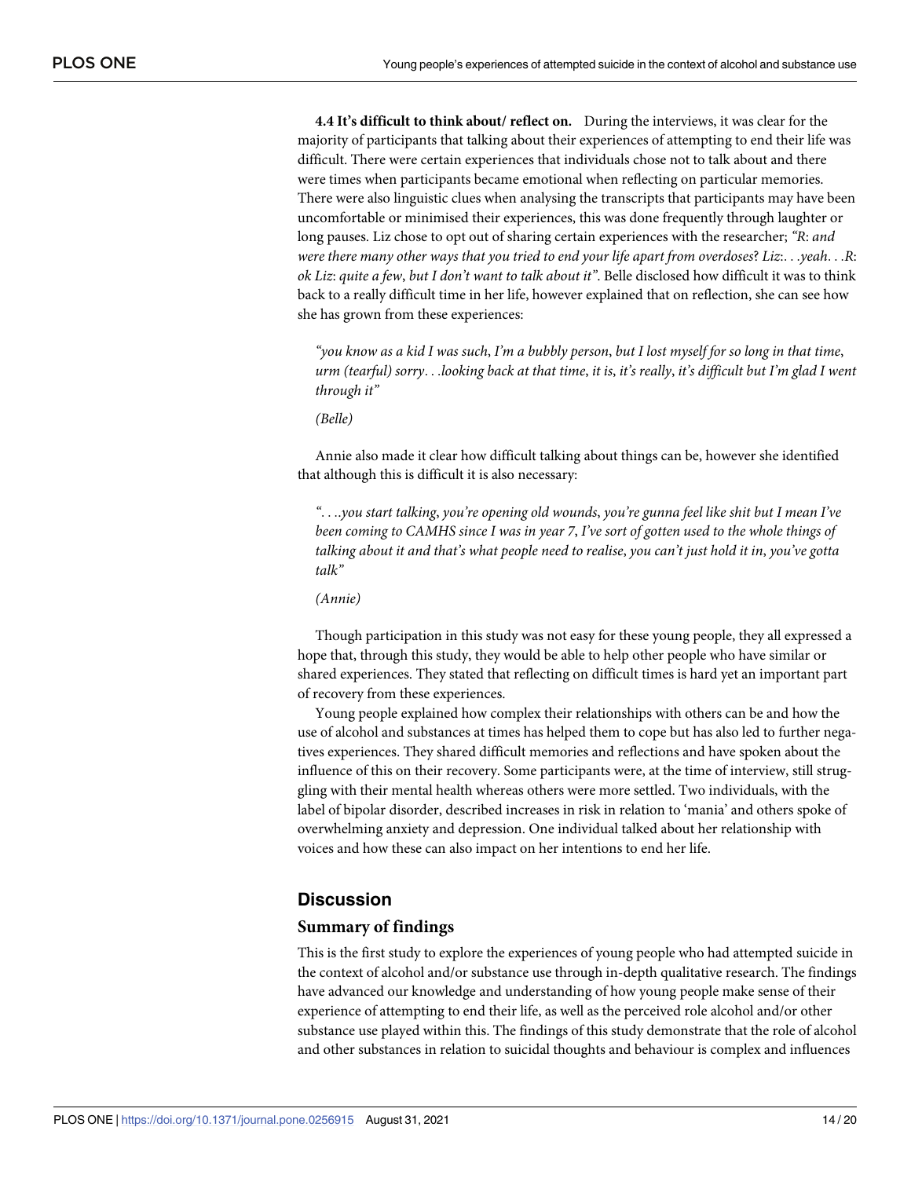**4.4 It's difficult to think about/ reflect on.** During the interviews, it was clear for the majority of participants that talking about their experiences of attempting to end their life was difficult. There were certain experiences that individuals chose not to talk about and there were times when participants became emotional when reflecting on particular memories. There were also linguistic clues when analysing the transcripts that participants may have been uncomfortable or minimised their experiences, this was done frequently through laughter or long pauses. Liz chose to opt out of sharing certain experiences with the researcher; *"R*: *and* were there many other ways that you tried to end your life apart from overdoses? Liz:...yeah...R: *ok Liz*: *quite a few*, *but I don't want to talk about it"*. Belle disclosed how difficult it was to think back to a really difficult time in her life, however explained that on reflection, she can see how she has grown from these experiences:

"you know as a kid I was such, I'm a bubbly person, but I lost myself for so long in that time, urm (tearful) sorry...looking back at that time, it is, it's really, it's difficult but I'm glad I went *through it"*

*(Belle)*

Annie also made it clear how difficult talking about things can be, however she identified that although this is difficult it is also necessary:

*"*. . ..*you start talking*, *you're opening old wounds*, *you're gunna feel like shit but I mean I've* been coming to CAMHS since I was in year 7, I've sort of gotten used to the whole things of *talking about it and that's what people need to realise*, *you can't just hold it in*, *you've gotta talk"*

*(Annie)*

Though participation in this study was not easy for these young people, they all expressed a hope that, through this study, they would be able to help other people who have similar or shared experiences. They stated that reflecting on difficult times is hard yet an important part of recovery from these experiences.

Young people explained how complex their relationships with others can be and how the use of alcohol and substances at times has helped them to cope but has also led to further negatives experiences. They shared difficult memories and reflections and have spoken about the influence of this on their recovery. Some participants were, at the time of interview, still struggling with their mental health whereas others were more settled. Two individuals, with the label of bipolar disorder, described increases in risk in relation to 'mania' and others spoke of overwhelming anxiety and depression. One individual talked about her relationship with voices and how these can also impact on her intentions to end her life.

# **Discussion**

#### **Summary of findings**

This is the first study to explore the experiences of young people who had attempted suicide in the context of alcohol and/or substance use through in-depth qualitative research. The findings have advanced our knowledge and understanding of how young people make sense of their experience of attempting to end their life, as well as the perceived role alcohol and/or other substance use played within this. The findings of this study demonstrate that the role of alcohol and other substances in relation to suicidal thoughts and behaviour is complex and influences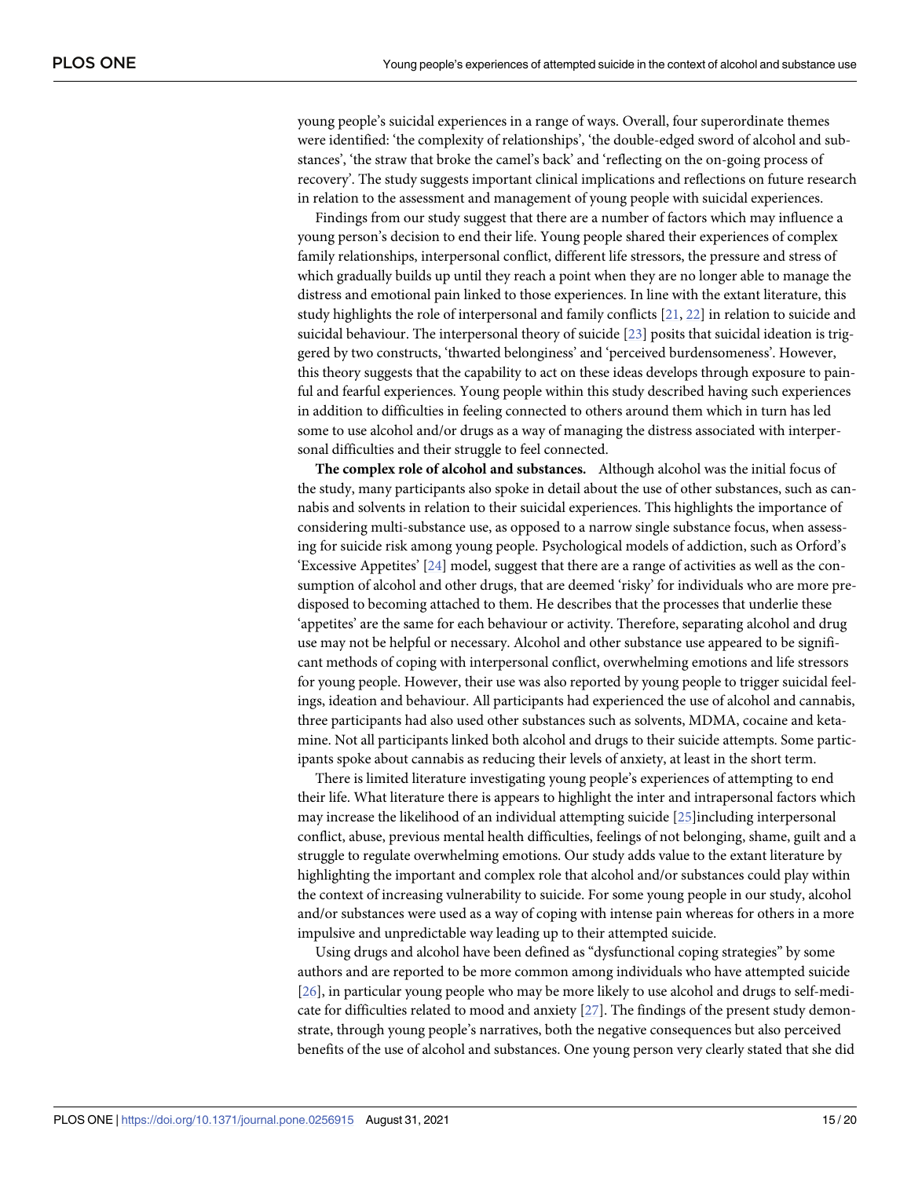<span id="page-15-0"></span>young people's suicidal experiences in a range of ways. Overall, four superordinate themes were identified: 'the complexity of relationships', 'the double-edged sword of alcohol and substances', 'the straw that broke the camel's back' and 'reflecting on the on-going process of recovery'. The study suggests important clinical implications and reflections on future research in relation to the assessment and management of young people with suicidal experiences.

Findings from our study suggest that there are a number of factors which may influence a young person's decision to end their life. Young people shared their experiences of complex family relationships, interpersonal conflict, different life stressors, the pressure and stress of which gradually builds up until they reach a point when they are no longer able to manage the distress and emotional pain linked to those experiences. In line with the extant literature, this study highlights the role of interpersonal and family conflicts [\[21,](#page-19-0) [22\]](#page-19-0) in relation to suicide and suicidal behaviour. The interpersonal theory of suicide [\[23\]](#page-19-0) posits that suicidal ideation is triggered by two constructs, 'thwarted belonginess' and 'perceived burdensomeness'. However, this theory suggests that the capability to act on these ideas develops through exposure to painful and fearful experiences. Young people within this study described having such experiences in addition to difficulties in feeling connected to others around them which in turn has led some to use alcohol and/or drugs as a way of managing the distress associated with interpersonal difficulties and their struggle to feel connected.

**The complex role of alcohol and substances.** Although alcohol was the initial focus of the study, many participants also spoke in detail about the use of other substances, such as cannabis and solvents in relation to their suicidal experiences. This highlights the importance of considering multi-substance use, as opposed to a narrow single substance focus, when assessing for suicide risk among young people. Psychological models of addiction, such as Orford's 'Excessive Appetites' [[24](#page-19-0)] model, suggest that there are a range of activities as well as the consumption of alcohol and other drugs, that are deemed 'risky' for individuals who are more predisposed to becoming attached to them. He describes that the processes that underlie these 'appetites' are the same for each behaviour or activity. Therefore, separating alcohol and drug use may not be helpful or necessary. Alcohol and other substance use appeared to be significant methods of coping with interpersonal conflict, overwhelming emotions and life stressors for young people. However, their use was also reported by young people to trigger suicidal feelings, ideation and behaviour. All participants had experienced the use of alcohol and cannabis, three participants had also used other substances such as solvents, MDMA, cocaine and ketamine. Not all participants linked both alcohol and drugs to their suicide attempts. Some participants spoke about cannabis as reducing their levels of anxiety, at least in the short term.

There is limited literature investigating young people's experiences of attempting to end their life. What literature there is appears to highlight the inter and intrapersonal factors which may increase the likelihood of an individual attempting suicide [[25](#page-19-0)]including interpersonal conflict, abuse, previous mental health difficulties, feelings of not belonging, shame, guilt and a struggle to regulate overwhelming emotions. Our study adds value to the extant literature by highlighting the important and complex role that alcohol and/or substances could play within the context of increasing vulnerability to suicide. For some young people in our study, alcohol and/or substances were used as a way of coping with intense pain whereas for others in a more impulsive and unpredictable way leading up to their attempted suicide.

Using drugs and alcohol have been defined as "dysfunctional coping strategies" by some authors and are reported to be more common among individuals who have attempted suicide [\[26\]](#page-19-0), in particular young people who may be more likely to use alcohol and drugs to self-medicate for difficulties related to mood and anxiety [\[27\]](#page-19-0). The findings of the present study demonstrate, through young people's narratives, both the negative consequences but also perceived benefits of the use of alcohol and substances. One young person very clearly stated that she did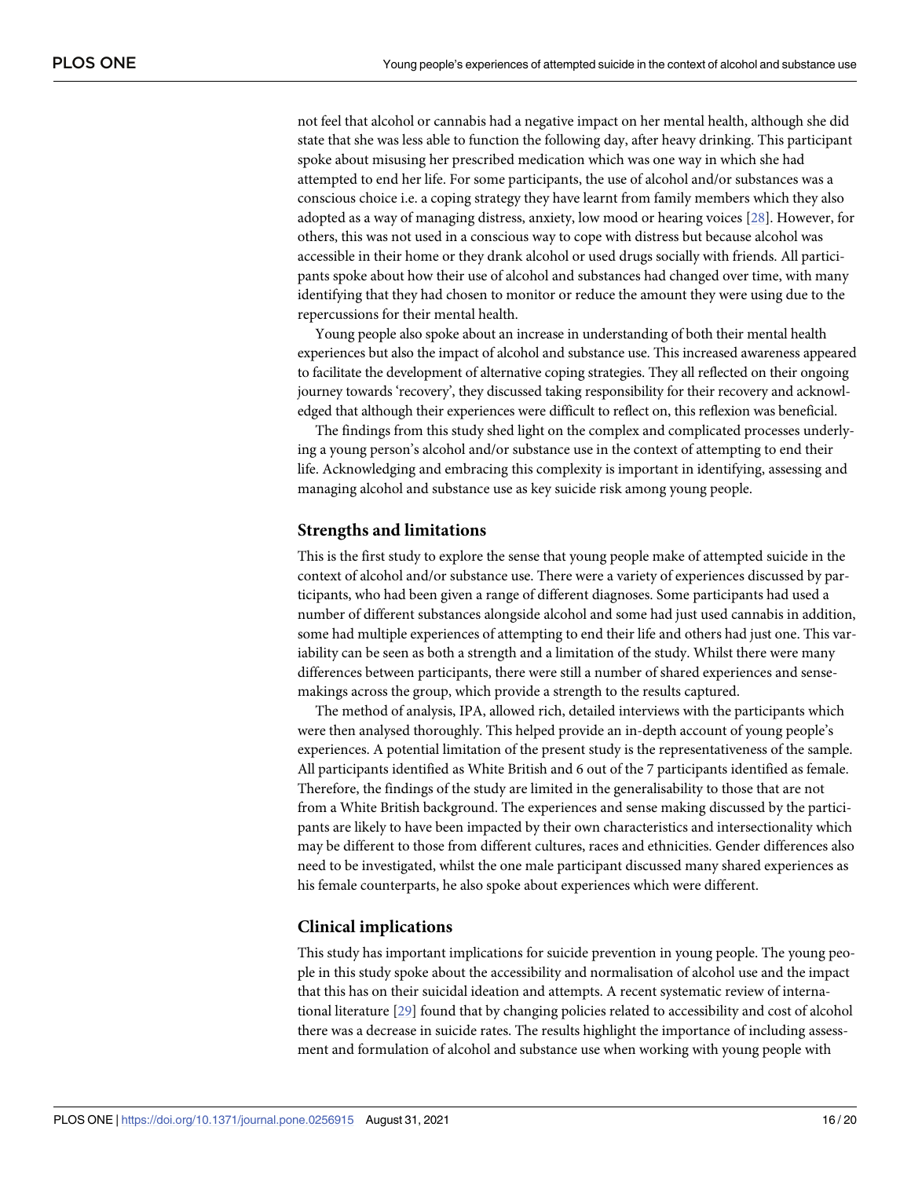<span id="page-16-0"></span>not feel that alcohol or cannabis had a negative impact on her mental health, although she did state that she was less able to function the following day, after heavy drinking. This participant spoke about misusing her prescribed medication which was one way in which she had attempted to end her life. For some participants, the use of alcohol and/or substances was a conscious choice i.e. a coping strategy they have learnt from family members which they also adopted as a way of managing distress, anxiety, low mood or hearing voices [[28](#page-19-0)]. However, for others, this was not used in a conscious way to cope with distress but because alcohol was accessible in their home or they drank alcohol or used drugs socially with friends. All participants spoke about how their use of alcohol and substances had changed over time, with many identifying that they had chosen to monitor or reduce the amount they were using due to the repercussions for their mental health.

Young people also spoke about an increase in understanding of both their mental health experiences but also the impact of alcohol and substance use. This increased awareness appeared to facilitate the development of alternative coping strategies. They all reflected on their ongoing journey towards 'recovery', they discussed taking responsibility for their recovery and acknowledged that although their experiences were difficult to reflect on, this reflexion was beneficial.

The findings from this study shed light on the complex and complicated processes underlying a young person's alcohol and/or substance use in the context of attempting to end their life. Acknowledging and embracing this complexity is important in identifying, assessing and managing alcohol and substance use as key suicide risk among young people.

#### **Strengths and limitations**

This is the first study to explore the sense that young people make of attempted suicide in the context of alcohol and/or substance use. There were a variety of experiences discussed by participants, who had been given a range of different diagnoses. Some participants had used a number of different substances alongside alcohol and some had just used cannabis in addition, some had multiple experiences of attempting to end their life and others had just one. This variability can be seen as both a strength and a limitation of the study. Whilst there were many differences between participants, there were still a number of shared experiences and sensemakings across the group, which provide a strength to the results captured.

The method of analysis, IPA, allowed rich, detailed interviews with the participants which were then analysed thoroughly. This helped provide an in-depth account of young people's experiences. A potential limitation of the present study is the representativeness of the sample. All participants identified as White British and 6 out of the 7 participants identified as female. Therefore, the findings of the study are limited in the generalisability to those that are not from a White British background. The experiences and sense making discussed by the participants are likely to have been impacted by their own characteristics and intersectionality which may be different to those from different cultures, races and ethnicities. Gender differences also need to be investigated, whilst the one male participant discussed many shared experiences as his female counterparts, he also spoke about experiences which were different.

# **Clinical implications**

This study has important implications for suicide prevention in young people. The young people in this study spoke about the accessibility and normalisation of alcohol use and the impact that this has on their suicidal ideation and attempts. A recent systematic review of international literature [\[29\]](#page-19-0) found that by changing policies related to accessibility and cost of alcohol there was a decrease in suicide rates. The results highlight the importance of including assessment and formulation of alcohol and substance use when working with young people with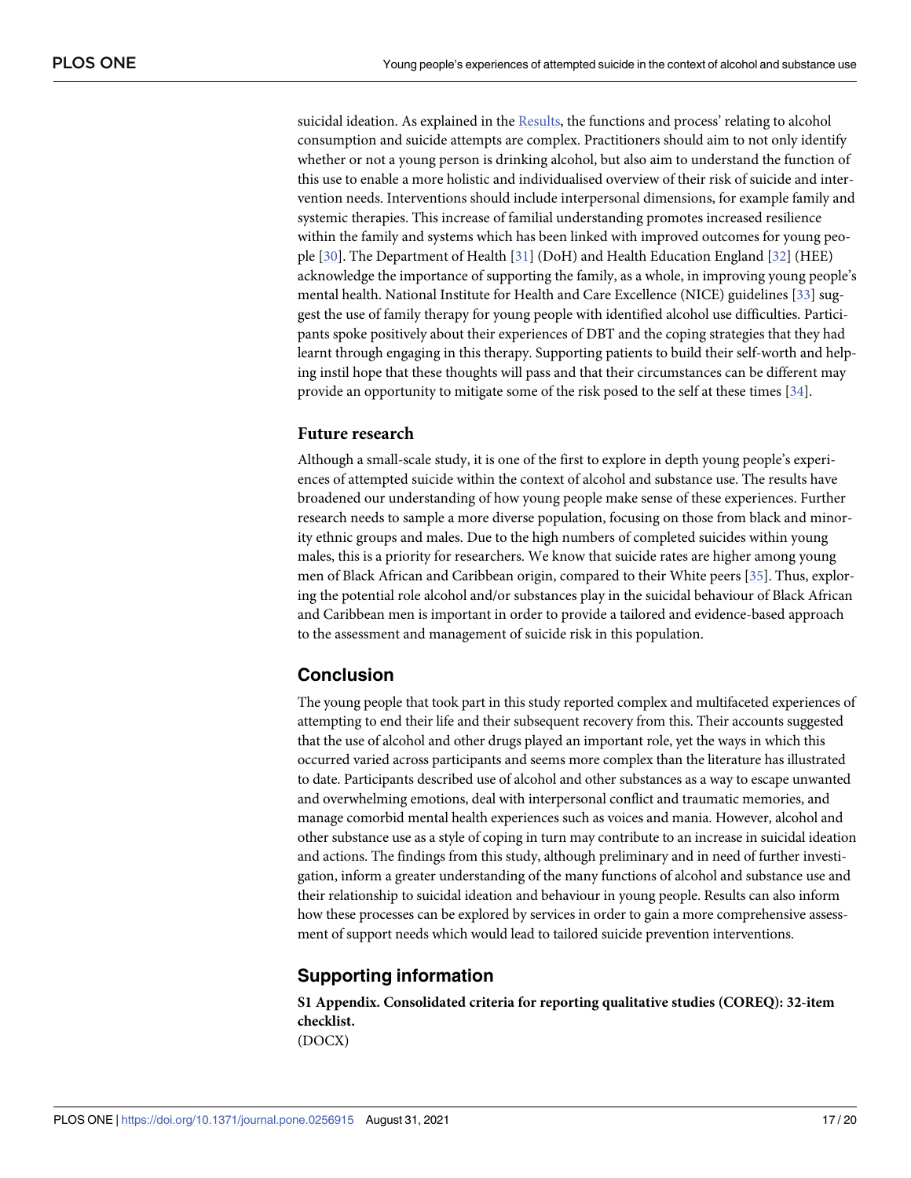<span id="page-17-0"></span>suicidal ideation. As explained in the [Results,](#page-4-0) the functions and process' relating to alcohol consumption and suicide attempts are complex. Practitioners should aim to not only identify whether or not a young person is drinking alcohol, but also aim to understand the function of this use to enable a more holistic and individualised overview of their risk of suicide and intervention needs. Interventions should include interpersonal dimensions, for example family and systemic therapies. This increase of familial understanding promotes increased resilience within the family and systems which has been linked with improved outcomes for young people [\[30\]](#page-19-0). The Department of Health [\[31\]](#page-19-0) (DoH) and Health Education England [\[32\]](#page-19-0) (HEE) acknowledge the importance of supporting the family, as a whole, in improving young people's mental health. National Institute for Health and Care Excellence (NICE) guidelines [[33](#page-19-0)] suggest the use of family therapy for young people with identified alcohol use difficulties. Participants spoke positively about their experiences of DBT and the coping strategies that they had learnt through engaging in this therapy. Supporting patients to build their self-worth and helping instil hope that these thoughts will pass and that their circumstances can be different may provide an opportunity to mitigate some of the risk posed to the self at these times [\[34\]](#page-20-0).

# **Future research**

Although a small-scale study, it is one of the first to explore in depth young people's experiences of attempted suicide within the context of alcohol and substance use. The results have broadened our understanding of how young people make sense of these experiences. Further research needs to sample a more diverse population, focusing on those from black and minority ethnic groups and males. Due to the high numbers of completed suicides within young males, this is a priority for researchers. We know that suicide rates are higher among young men of Black African and Caribbean origin, compared to their White peers [[35](#page-20-0)]. Thus, exploring the potential role alcohol and/or substances play in the suicidal behaviour of Black African and Caribbean men is important in order to provide a tailored and evidence-based approach to the assessment and management of suicide risk in this population.

# **Conclusion**

The young people that took part in this study reported complex and multifaceted experiences of attempting to end their life and their subsequent recovery from this. Their accounts suggested that the use of alcohol and other drugs played an important role, yet the ways in which this occurred varied across participants and seems more complex than the literature has illustrated to date. Participants described use of alcohol and other substances as a way to escape unwanted and overwhelming emotions, deal with interpersonal conflict and traumatic memories, and manage comorbid mental health experiences such as voices and mania. However, alcohol and other substance use as a style of coping in turn may contribute to an increase in suicidal ideation and actions. The findings from this study, although preliminary and in need of further investigation, inform a greater understanding of the many functions of alcohol and substance use and their relationship to suicidal ideation and behaviour in young people. Results can also inform how these processes can be explored by services in order to gain a more comprehensive assessment of support needs which would lead to tailored suicide prevention interventions.

# **Supporting information**

**S1 [Appendix](http://www.plosone.org/article/fetchSingleRepresentation.action?uri=info:doi/10.1371/journal.pone.0256915.s001). Consolidated criteria for reporting qualitative studies (COREQ): 32-item checklist.**

(DOCX)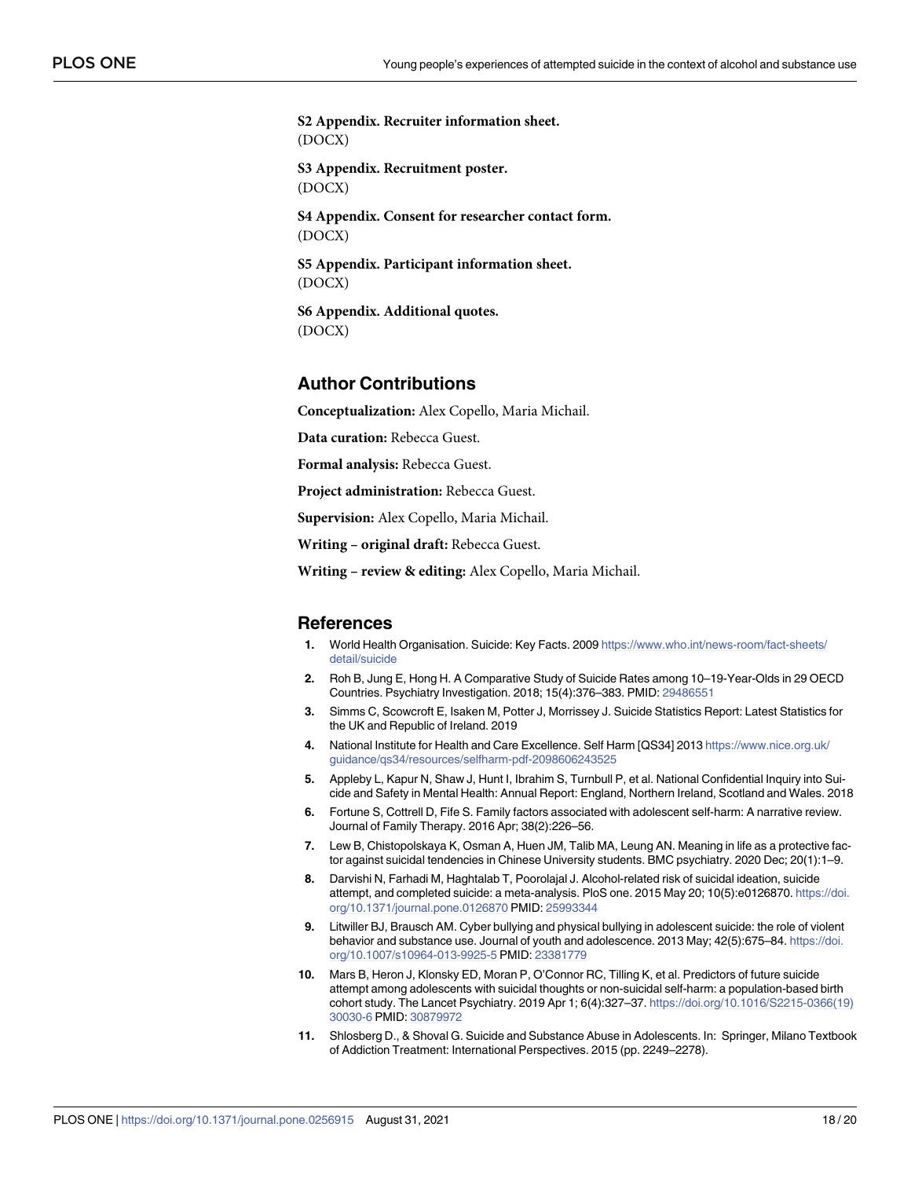<span id="page-18-0"></span>**S2 [Appendix](http://www.plosone.org/article/fetchSingleRepresentation.action?uri=info:doi/10.1371/journal.pone.0256915.s002). Recruiter information sheet.** (DOCX) **S3 [Appendix](http://www.plosone.org/article/fetchSingleRepresentation.action?uri=info:doi/10.1371/journal.pone.0256915.s003). Recruitment poster.** (DOCX) **S4 [Appendix](http://www.plosone.org/article/fetchSingleRepresentation.action?uri=info:doi/10.1371/journal.pone.0256915.s004). Consent for researcher contact form.** (DOCX) **S5 [Appendix](http://www.plosone.org/article/fetchSingleRepresentation.action?uri=info:doi/10.1371/journal.pone.0256915.s005). Participant information sheet.** (DOCX)

**S6 [Appendix](http://www.plosone.org/article/fetchSingleRepresentation.action?uri=info:doi/10.1371/journal.pone.0256915.s006). Additional quotes.** (DOCX)

# **Author Contributions**

**Conceptualization:** Alex Copello, Maria Michail.

**Data curation:** Rebecca Guest.

**Formal analysis:** Rebecca Guest.

**Project administration:** Rebecca Guest.

**Supervision:** Alex Copello, Maria Michail.

**Writing – original draft:** Rebecca Guest.

**Writing – review & editing:** Alex Copello, Maria Michail.

# **References**

- **[1](#page-1-0).** World Health Organisation. Suicide: Key Facts. 2009 [https://www.who.int/news-room/fact-sheets/](https://www.who.int/news-room/fact-sheets/detail/suicide) [detail/suicide](https://www.who.int/news-room/fact-sheets/detail/suicide)
- **[2](#page-1-0).** Roh B, Jung E, Hong H. A Comparative Study of Suicide Rates among 10–19-Year-Olds in 29 OECD Countries. Psychiatry Investigation. 2018; 15(4):376–383. PMID: [29486551](http://www.ncbi.nlm.nih.gov/pubmed/29486551)
- **[3](#page-1-0).** Simms C, Scowcroft E, Isaken M, Potter J, Morrissey J. Suicide Statistics Report: Latest Statistics for the UK and Republic of Ireland. 2019
- **[4](#page-2-0).** National Institute for Health and Care Excellence. Self Harm [QS34] 2013 [https://www.nice.org.uk/](https://www.nice.org.uk/guidance/qs34/resources/selfharm-pdf-2098606243525) [guidance/qs34/resources/selfharm-pdf-2098606243525](https://www.nice.org.uk/guidance/qs34/resources/selfharm-pdf-2098606243525)
- **[5](#page-2-0).** Appleby L, Kapur N, Shaw J, Hunt I, Ibrahim S, Turnbull P, et al. National Confidential Inquiry into Suicide and Safety in Mental Health: Annual Report: England, Northern Ireland, Scotland and Wales. 2018
- **[6](#page-2-0).** Fortune S, Cottrell D, Fife S. Family factors associated with adolescent self-harm: A narrative review. Journal of Family Therapy. 2016 Apr; 38(2):226–56.
- **[7](#page-2-0).** Lew B, Chistopolskaya K, Osman A, Huen JM, Talib MA, Leung AN. Meaning in life as a protective factor against suicidal tendencies in Chinese University students. BMC psychiatry. 2020 Dec; 20(1):1–9.
- **[8](#page-2-0).** Darvishi N, Farhadi M, Haghtalab T, Poorolajal J. Alcohol-related risk of suicidal ideation, suicide attempt, and completed suicide: a meta-analysis. PloS one. 2015 May 20; 10(5):e0126870. [https://doi.](https://doi.org/10.1371/journal.pone.0126870) [org/10.1371/journal.pone.0126870](https://doi.org/10.1371/journal.pone.0126870) PMID: [25993344](http://www.ncbi.nlm.nih.gov/pubmed/25993344)
- **9.** Litwiller BJ, Brausch AM. Cyber bullying and physical bullying in adolescent suicide: the role of violent behavior and substance use. Journal of youth and adolescence. 2013 May; 42(5):675–84. [https://doi.](https://doi.org/10.1007/s10964-013-9925-5) [org/10.1007/s10964-013-9925-5](https://doi.org/10.1007/s10964-013-9925-5) PMID: [23381779](http://www.ncbi.nlm.nih.gov/pubmed/23381779)
- **10.** Mars B, Heron J, Klonsky ED, Moran P, O'Connor RC, Tilling K, et al. Predictors of future suicide attempt among adolescents with suicidal thoughts or non-suicidal self-harm: a population-based birth cohort study. The Lancet Psychiatry. 2019 Apr 1; 6(4):327–37. [https://doi.org/10.1016/S2215-0366\(19\)](https://doi.org/10.1016/S2215-0366%2819%2930030-6) [30030-6](https://doi.org/10.1016/S2215-0366%2819%2930030-6) PMID: [30879972](http://www.ncbi.nlm.nih.gov/pubmed/30879972)
- **[11](#page-2-0).** Shlosberg D., & Shoval G. Suicide and Substance Abuse in Adolescents. In: Springer, Milano Textbook of Addiction Treatment: International Perspectives. 2015 (pp. 2249–2278).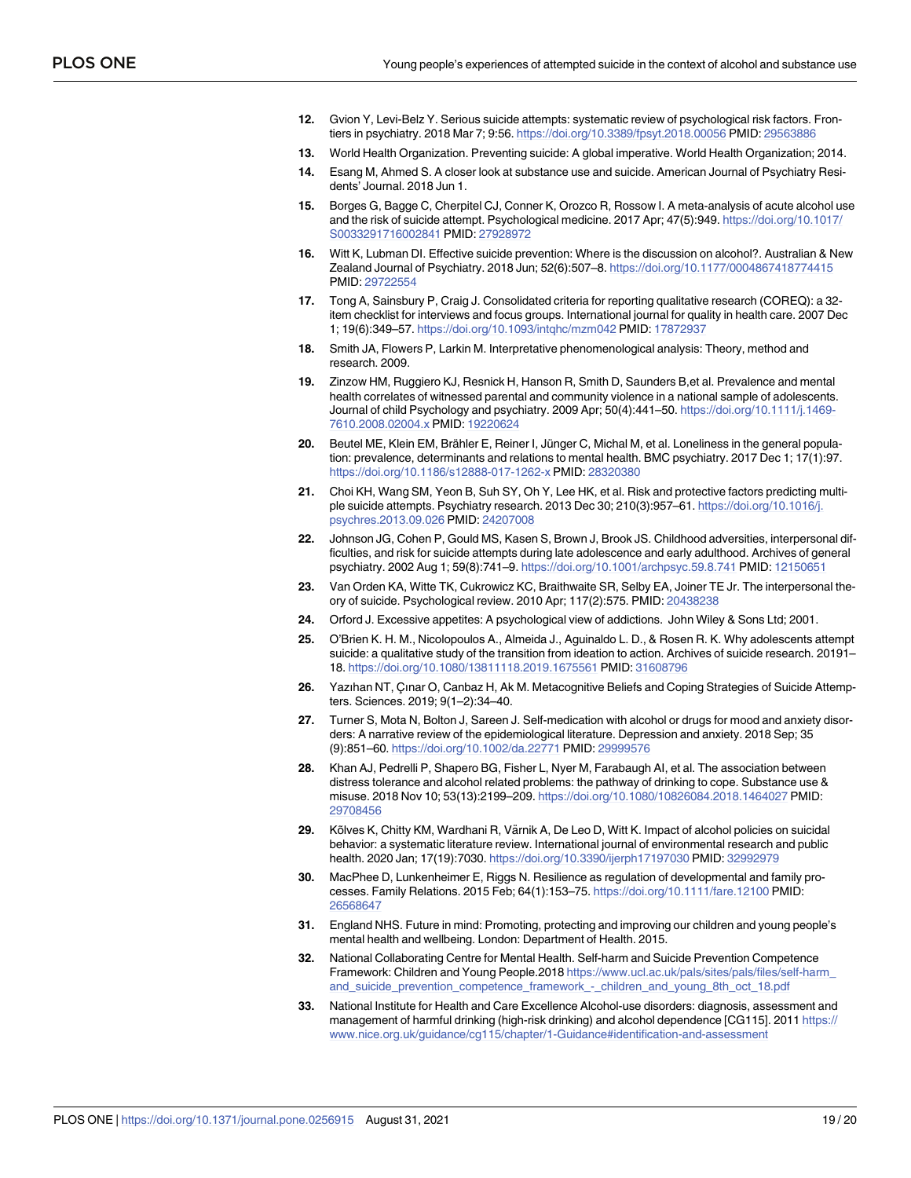- <span id="page-19-0"></span>**[12](#page-2-0).** Gvion Y, Levi-Belz Y. Serious suicide attempts: systematic review of psychological risk factors. Frontiers in psychiatry. 2018 Mar 7; 9:56. <https://doi.org/10.3389/fpsyt.2018.00056> PMID: [29563886](http://www.ncbi.nlm.nih.gov/pubmed/29563886)
- **[13](#page-2-0).** World Health Organization. Preventing suicide: A global imperative. World Health Organization; 2014.
- **[14](#page-2-0).** Esang M, Ahmed S. A closer look at substance use and suicide. American Journal of Psychiatry Residents' Journal. 2018 Jun 1.
- **[15](#page-2-0).** Borges G, Bagge C, Cherpitel CJ, Conner K, Orozco R, Rossow I. A meta-analysis of acute alcohol use and the risk of suicide attempt. Psychological medicine. 2017 Apr; 47(5):949. [https://doi.org/10.1017/](https://doi.org/10.1017/S0033291716002841) [S0033291716002841](https://doi.org/10.1017/S0033291716002841) PMID: [27928972](http://www.ncbi.nlm.nih.gov/pubmed/27928972)
- **[16](#page-2-0).** Witt K, Lubman DI. Effective suicide prevention: Where is the discussion on alcohol?. Australian & New Zealand Journal of Psychiatry. 2018 Jun; 52(6):507–8. <https://doi.org/10.1177/0004867418774415> PMID: [29722554](http://www.ncbi.nlm.nih.gov/pubmed/29722554)
- **[17](#page-2-0).** Tong A, Sainsbury P, Craig J. Consolidated criteria for reporting qualitative research (COREQ): a 32 item checklist for interviews and focus groups. International journal for quality in health care. 2007 Dec 1; 19(6):349–57. <https://doi.org/10.1093/intqhc/mzm042> PMID: [17872937](http://www.ncbi.nlm.nih.gov/pubmed/17872937)
- **[18](#page-3-0).** Smith JA, Flowers P, Larkin M. Interpretative phenomenological analysis: Theory, method and research. 2009.
- **[19](#page-6-0).** Zinzow HM, Ruggiero KJ, Resnick H, Hanson R, Smith D, Saunders B,et al. Prevalence and mental health correlates of witnessed parental and community violence in a national sample of adolescents. Journal of child Psychology and psychiatry. 2009 Apr; 50(4):441–50. [https://doi.org/10.1111/j.1469-](https://doi.org/10.1111/j.1469-7610.2008.02004.x) [7610.2008.02004.x](https://doi.org/10.1111/j.1469-7610.2008.02004.x) PMID: [19220624](http://www.ncbi.nlm.nih.gov/pubmed/19220624)
- **[20](#page-6-0).** Beutel ME, Klein EM, Brähler E, Reiner I, Jünger C, Michal M, et al. Loneliness in the general population: prevalence, determinants and relations to mental health. BMC psychiatry. 2017 Dec 1; 17(1):97. <https://doi.org/10.1186/s12888-017-1262-x> PMID: [28320380](http://www.ncbi.nlm.nih.gov/pubmed/28320380)
- **[21](#page-15-0).** Choi KH, Wang SM, Yeon B, Suh SY, Oh Y, Lee HK, et al. Risk and protective factors predicting multiple suicide attempts. Psychiatry research. 2013 Dec 30; 210(3):957–61. [https://doi.org/10.1016/j.](https://doi.org/10.1016/j.psychres.2013.09.026) [psychres.2013.09.026](https://doi.org/10.1016/j.psychres.2013.09.026) PMID: [24207008](http://www.ncbi.nlm.nih.gov/pubmed/24207008)
- **[22](#page-15-0).** Johnson JG, Cohen P, Gould MS, Kasen S, Brown J, Brook JS. Childhood adversities, interpersonal difficulties, and risk for suicide attempts during late adolescence and early adulthood. Archives of general psychiatry. 2002 Aug 1; 59(8):741–9. <https://doi.org/10.1001/archpsyc.59.8.741> PMID: [12150651](http://www.ncbi.nlm.nih.gov/pubmed/12150651)
- **[23](#page-15-0).** Van Orden KA, Witte TK, Cukrowicz KC, Braithwaite SR, Selby EA, Joiner TE Jr. The interpersonal theory of suicide. Psychological review. 2010 Apr; 117(2):575. PMID: [20438238](http://www.ncbi.nlm.nih.gov/pubmed/20438238)
- **[24](#page-15-0).** Orford J. Excessive appetites: A psychological view of addictions. John Wiley & Sons Ltd; 2001.
- **[25](#page-15-0).** O'Brien K. H. M., Nicolopoulos A., Almeida J., Aguinaldo L. D., & Rosen R. K. Why adolescents attempt suicide: a qualitative study of the transition from ideation to action. Archives of suicide research. 20191– 18. <https://doi.org/10.1080/13811118.2019.1675561> PMID: [31608796](http://www.ncbi.nlm.nih.gov/pubmed/31608796)
- **[26](#page-15-0).** Yazıhan NT, Çınar O, Canbaz H, Ak M. Metacognitive Beliefs and Coping Strategies of Suicide Attempters. Sciences. 2019; 9(1–2):34–40.
- **[27](#page-15-0).** Turner S, Mota N, Bolton J, Sareen J. Self-medication with alcohol or drugs for mood and anxiety disorders: A narrative review of the epidemiological literature. Depression and anxiety. 2018 Sep; 35 (9):851–60. <https://doi.org/10.1002/da.22771> PMID: [29999576](http://www.ncbi.nlm.nih.gov/pubmed/29999576)
- **[28](#page-16-0).** Khan AJ, Pedrelli P, Shapero BG, Fisher L, Nyer M, Farabaugh AI, et al. The association between distress tolerance and alcohol related problems: the pathway of drinking to cope. Substance use & misuse. 2018 Nov 10; 53(13):2199–209. <https://doi.org/10.1080/10826084.2018.1464027> PMID: [29708456](http://www.ncbi.nlm.nih.gov/pubmed/29708456)
- **[29](#page-16-0).** Kõlves K, Chitty KM, Wardhani R, Värnik A, De Leo D, Witt K. Impact of alcohol policies on suicidal behavior: a systematic literature review. International journal of environmental research and public health. 2020 Jan; 17(19):7030. <https://doi.org/10.3390/ijerph17197030> PMID: [32992979](http://www.ncbi.nlm.nih.gov/pubmed/32992979)
- **[30](#page-17-0).** MacPhee D, Lunkenheimer E, Riggs N. Resilience as regulation of developmental and family processes. Family Relations. 2015 Feb; 64(1):153–75. <https://doi.org/10.1111/fare.12100> PMID: [26568647](http://www.ncbi.nlm.nih.gov/pubmed/26568647)
- **[31](#page-17-0).** England NHS. Future in mind: Promoting, protecting and improving our children and young people's mental health and wellbeing. London: Department of Health. 2015.
- **[32](#page-17-0).** National Collaborating Centre for Mental Health. Self-harm and Suicide Prevention Competence Framework: Children and Young People.2018 [https://www.ucl.ac.uk/pals/sites/pals/files/self-harm\\_](https://www.ucl.ac.uk/pals/sites/pals/files/self-harm_and_suicide_prevention_competence_framework_-_children_and_young_8th_oct_18.pdf) [and\\_suicide\\_prevention\\_competence\\_framework\\_-\\_children\\_and\\_young\\_8th\\_oct\\_18.pdf](https://www.ucl.ac.uk/pals/sites/pals/files/self-harm_and_suicide_prevention_competence_framework_-_children_and_young_8th_oct_18.pdf)
- **[33](#page-17-0).** National Institute for Health and Care Excellence Alcohol-use disorders: diagnosis, assessment and management of harmful drinking (high-risk drinking) and alcohol dependence [CG115]. 2011 [https://](https://www.nice.org.uk/guidance/cg115/chapter/1-Guidance#identification-and-assessment) [www.nice.org.uk/guidance/cg115/chapter/1-Guidance#identification-and-assessment](https://www.nice.org.uk/guidance/cg115/chapter/1-Guidance#identification-and-assessment)